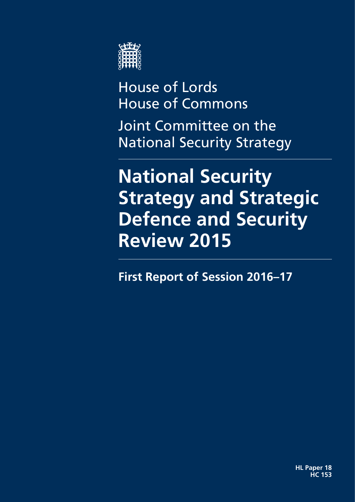

House of Lords House of Commons Joint Committee on the

National Security Strategy

# **National Security Strategy and Strategic Defence and Security Review 2015**

**First Report of Session 2016–17**

**HL Paper 18 HC 153**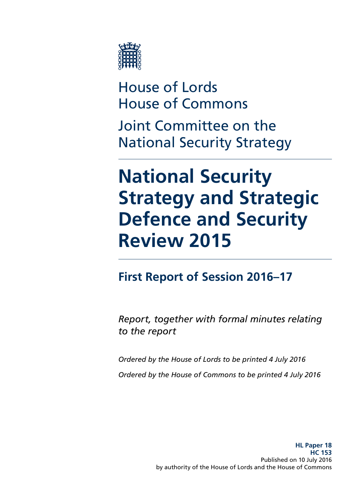

House of Lords House of Commons

Joint Committee on the National Security Strategy

# **National Security Strategy and Strategic Defence and Security Review 2015**

## **First Report of Session 2016–17**

*Report, together with formal minutes relating to the report*

*Ordered by the House of Lords to be printed 4 July 2016 Ordered by the House of Commons to be printed 4 July 2016*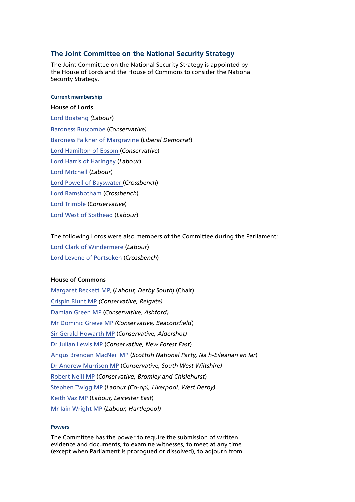#### **The Joint Committee on the National Security Strategy**

The Joint Committee on the National Security Strategy is appointed by the House of Lords and the House of Commons to consider the National Security Strategy.

#### **Current membership**

#### **House of Lords**

[Lord Boateng](http://www.parliament.uk/biographies/lords/lord-boateng/147) *(Labour*) [Baroness Buscombe](http://www.parliament.uk/biographies/lords/baroness-buscombe/3349) (*Conservative)* [Baroness Falkner of Margravine](http://www.parliament.uk/biographies/lords/baroness-falkner-of-margravine/3670) (*Liberal Democrat*) [Lord Hamilton of Epsom](http://www.parliament.uk/biographies/lords/lord-hamilton-of-epsom/100) (*Conservative*) [Lord Harris of Haringey](http://www.parliament.uk/biographies/lords/lord-harris-of-haringey/2671) (*Labour*) [Lord Mitchell](http://www.parliament.uk/biographies/lords/lord-mitchell/2570) (*Labour*) [Lord Powell of Bayswater](http://www.parliament.uk/biographies/lords/lord-powell-of-bayswater/2527) (*Crossbench*) [Lord Ramsbotham](http://www.parliament.uk/biographies/lords/lord-ramsbotham/3744) (*Crossbench*) [Lord Trimble](http://www.parliament.uk/biographies/lords/lord-trimble/658) (*Conservative*) [Lord West of Spithead](http://www.parliament.uk/biographies/lords/lord-west-of-spithead/3834) (*Labour*)

#### The following Lords were also members of the Committee during the Parliament:

[Lord Clark of Windermere](http://www.parliament.uk/biographies/lords/lord-clark-of-windermere/525) (*Labour*) [Lord Levene of Portsoken](http://www.parliament.uk/biographies/lords/lord-levene-of-portsoken/2035) (*Crossbench*)

#### **House of Commons**

[Margaret Beckett MP](http://www.parliament.uk/biographies/commons/margaret-beckett/328), (*Labour, Derby South*) (Chair) [Crispin Blunt MP](http://www.parliament.uk/biographies/commons/crispin-blunt/104) *(Conservative, Reigate)* [Damian Green MP](http://www.parliament.uk/biographies/commons/damian-green/76) (*Conservative, Ashford)* [Mr Dominic Grieve MP](http://www.parliament.uk/biographies/commons/mr-dominic-grieve/16) *(Conservative, Beaconsfield*) [Sir Gerald Howarth MP](http://www.parliament.uk/biographies/commons/sir-gerald-howarth/47) (*Conservative, Aldershot)* [Dr Julian Lewis MP](http://www.parliament.uk/biographies/commons/dr-julian-lewis/54) (*Conservative, New Forest East*) [Angus Brendan MacNeil MP](http://www.parliament.uk/biographies/commons/angus-brendan-macneil/1546) (*Scottish National Party, Na h-Eileanan an Iar*) [Dr Andrew Murrison MP](http://www.parliament.uk/biographies/commons/dr-andrew-murrison/1466) (*Conservative, South West Wiltshire)* [Robert Neill MP](http://www.parliament.uk/biographies/commons/robert-neill/1601) (*Conservative, Bromley and Chislehurst*) [Stephen Twigg MP](http://www.parliament.uk/biographies/commons/stephen-twigg/167) (*Labour (Co-op), Liverpool, West Derby)* [Keith Vaz MP](http://www.parliament.uk/biographies/commons/keith-vaz/338) (*Labour, Leicester East*) [Mr Iain Wright MP](http://www.parliament.uk/biographies/commons/mr-iain-wright/1478) (*Labour, Hartlepool)*

#### **Powers**

The Committee has the power to require the submission of written evidence and documents, to examine witnesses, to meet at any time (except when Parliament is prorogued or dissolved), to adjourn from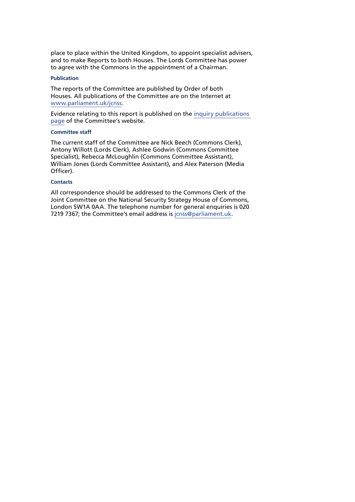place to place within the United Kingdom, to appoint specialist advisers, and to make Reports to both Houses. The Lords Committee has power to agree with the Commons in the appointment of a Chairman.

#### **Publication**

The reports of the Committee are published by Order of both Houses. All publications of the Committee are on the Internet at [www.parliament.uk/jcnss](http://www.parliament.uk/jcnss).

Evidence relating to this report is published on the [inquiry publications](http://www.parliament.uk/business/committees/committees-a-z/joint-select/national-security-strategy/inquiries/parliament-2015/nss-sdsr-2015-15-16/)  [page](http://www.parliament.uk/business/committees/committees-a-z/joint-select/national-security-strategy/inquiries/parliament-2015/nss-sdsr-2015-15-16/) of the Committee's website.

#### **Committee staff**

The current staff of the Committee are Nick Beech (Commons Clerk), Antony Willott (Lords Clerk), Ashlee Godwin (Commons Committee Specialist), Rebecca McLoughlin (Commons Committee Assistant), William Jones (Lords Committee Assistant), and Alex Paterson (Media Officer).

#### **Contacts**

All correspondence should be addressed to the Commons Clerk of the Joint Committee on the National Security Strategy House of Commons, London SW1A 0AA. The telephone number for general enquiries is 020 7219 7367; the Committee's email address is [jcnss@parliament.uk](mailto:jcnss@parliament.uk).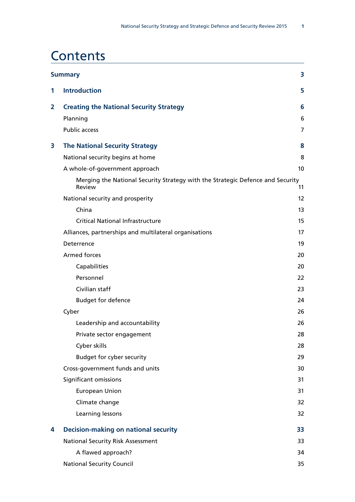### **Contents**

| <b>Summary</b><br>3 |                                                                                          |    |
|---------------------|------------------------------------------------------------------------------------------|----|
| 1                   | <b>Introduction</b>                                                                      | 5  |
| 2                   | <b>Creating the National Security Strategy</b>                                           | 6  |
|                     | Planning                                                                                 | 6  |
|                     | <b>Public access</b>                                                                     | 7  |
| 3                   | <b>The National Security Strategy</b>                                                    | 8  |
|                     | National security begins at home                                                         | 8  |
|                     | A whole-of-government approach                                                           | 10 |
|                     | Merging the National Security Strategy with the Strategic Defence and Security<br>Review | 11 |
|                     | National security and prosperity                                                         | 12 |
|                     | China                                                                                    | 13 |
|                     | <b>Critical National Infrastructure</b>                                                  | 15 |
|                     | Alliances, partnerships and multilateral organisations                                   | 17 |
|                     | Deterrence                                                                               | 19 |
|                     | <b>Armed forces</b>                                                                      | 20 |
|                     | Capabilities                                                                             | 20 |
|                     | Personnel                                                                                | 22 |
|                     | Civilian staff                                                                           | 23 |
|                     | <b>Budget for defence</b>                                                                | 24 |
|                     | Cyber                                                                                    | 26 |
|                     | Leadership and accountability                                                            | 26 |
|                     | Private sector engagement                                                                | 28 |
|                     | Cyber skills                                                                             | 28 |
|                     | Budget for cyber security                                                                | 29 |
|                     | Cross-government funds and units                                                         | 30 |
|                     | Significant omissions                                                                    | 31 |
|                     | <b>European Union</b>                                                                    | 31 |
|                     | Climate change                                                                           | 32 |
|                     | Learning lessons                                                                         | 32 |
| 4                   | <b>Decision-making on national security</b>                                              | 33 |
|                     | <b>National Security Risk Assessment</b>                                                 | 33 |
|                     | A flawed approach?                                                                       | 34 |
|                     | <b>National Security Council</b>                                                         | 35 |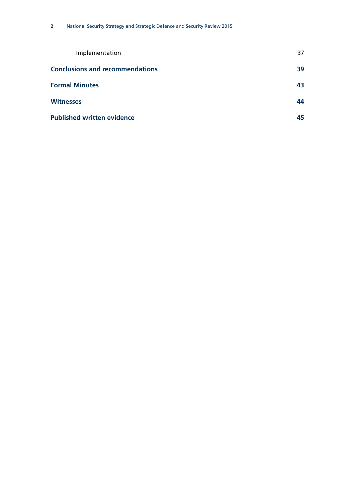| Implementation                         | 37 |
|----------------------------------------|----|
| <b>Conclusions and recommendations</b> | 39 |
| <b>Formal Minutes</b>                  | 43 |
| <b>Witnesses</b>                       | 44 |
| <b>Published written evidence</b>      | 45 |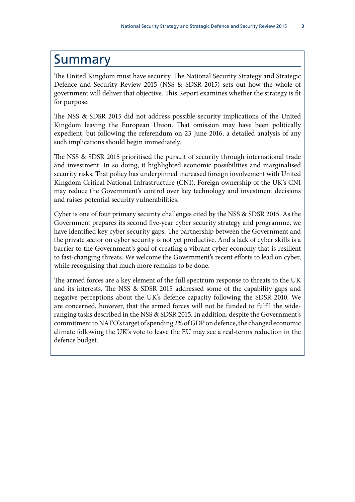### <span id="page-8-0"></span>Summary

The United Kingdom must have security. The National Security Strategy and Strategic Defence and Security Review 2015 (NSS & SDSR 2015) sets out how the whole of government will deliver that objective. This Report examines whether the strategy is fit for purpose.

The NSS & SDSR 2015 did not address possible security implications of the United Kingdom leaving the European Union. That omission may have been politically expedient, but following the referendum on 23 June 2016, a detailed analysis of any such implications should begin immediately.

The NSS & SDSR 2015 prioritised the pursuit of security through international trade and investment. In so doing, it highlighted economic possibilities and marginalised security risks. That policy has underpinned increased foreign involvement with United Kingdom Critical National Infrastructure (CNI). Foreign ownership of the UK's CNI may reduce the Government's control over key technology and investment decisions and raises potential security vulnerabilities.

Cyber is one of four primary security challenges cited by the NSS & SDSR 2015. As the Government prepares its second five-year cyber security strategy and programme, we have identified key cyber security gaps. The partnership between the Government and the private sector on cyber security is not yet productive. And a lack of cyber skills is a barrier to the Government's goal of creating a vibrant cyber economy that is resilient to fast-changing threats. We welcome the Government's recent efforts to lead on cyber, while recognising that much more remains to be done.

The armed forces are a key element of the full spectrum response to threats to the UK and its interests. The NSS & SDSR 2015 addressed some of the capability gaps and negative perceptions about the UK's defence capacity following the SDSR 2010. We are concerned, however, that the armed forces will not be funded to fulfil the wideranging tasks described in the NSS & SDSR 2015. In addition, despite the Government's commitment to NATO's target of spending 2% of GDP on defence, the changed economic climate following the UK's vote to leave the EU may see a real-terms reduction in the defence budget.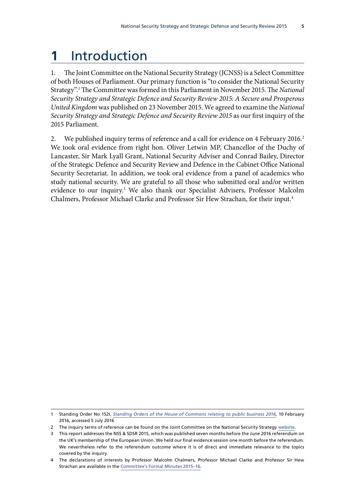# <span id="page-10-0"></span>**1** Introduction

1. The Joint Committee on the National Security Strategy (JCNSS) is a Select Committee of both Houses of Parliament. Our primary function is "to consider the National Security Strategy".1 The Committee was formed in this Parliament in November 2015. The *National Security Strategy and Strategic Defence and Security Review 2015: A Secure and Prosperous United Kingdom* was published on 23 November 2015. We agreed to examine the *National Security Strategy and Strategic Defence and Security Review 2015* as our first inquiry of the 2015 Parliament.

2. We published inquiry terms of reference and a call for evidence on 4 February 2016.<sup>2</sup> We took oral evidence from right hon. Oliver Letwin MP, Chancellor of the Duchy of Lancaster, Sir Mark Lyall Grant, National Security Adviser and Conrad Bailey, Director of the Strategic Defence and Security Review and Defence in the Cabinet Office National Security Secretariat. In addition, we took oral evidence from a panel of academics who study national security. We are grateful to all those who submitted oral and/or written evidence to our inquiry.<sup>3</sup> We also thank our Specialist Advisers, Professor Malcolm Chalmers, Professor Michael Clarke and Professor Sir Hew Strachan, for their input.4

<sup>1</sup> Standing Order No 152I, *[Standing Orders of the House of Commons relating to public business 2016](http://www.publications.parliament.uk/pa/cm201516/cmstords/0002/body.htm)*, 10 February 2016, accessed 5 July 2016

<sup>2</sup> The inquiry terms of reference can be found on the Joint Committee on the National Security Strategy [website](http://www.parliament.uk/business/committees/committees-a-z/joint-select/national-security-strategy/news-parliament-2015/nss-sdsr-launch-15-16/).

<sup>3</sup> This report addresses the NSS & SDSR 2015, which was published seven months before the June 2016 referendum on the UK's membership of the European Union. We held our final evidence session one month before the referendum. We nevertheless refer to the referendum outcome where it is of direct and immediate relevance to the topics covered by the inquiry.

<sup>4</sup> The declarations of interests by Professor Malcolm Chalmers, Professor Michael Clarke and Professor Sir Hew Strachan are available in the [Committee's Formal Minutes 2015–16](http://www.parliament.uk/documents/joint-committees/national-security-strategy/Formal-Minutes/2015-20-Parliament/JCNSS-Formal-Minutes-2015-16.pdf).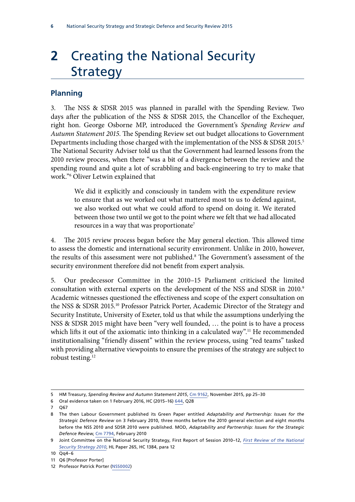# <span id="page-11-0"></span>**2** Creating the National Security Strategy

#### **Planning**

3. The NSS & SDSR 2015 was planned in parallel with the Spending Review. Two days after the publication of the NSS & SDSR 2015, the Chancellor of the Exchequer, right hon. George Osborne MP, introduced the Government's *Spending Review and Autumn Statement 2015*. The Spending Review set out budget allocations to Government Departments including those charged with the implementation of the NSS & SDSR 2015.<sup>5</sup> The National Security Adviser told us that the Government had learned lessons from the 2010 review process, when there "was a bit of a divergence between the review and the spending round and quite a lot of scrabbling and back-engineering to try to make that work."6 Oliver Letwin explained that

We did it explicitly and consciously in tandem with the expenditure review to ensure that as we worked out what mattered most to us to defend against, we also worked out what we could afford to spend on doing it. We iterated between those two until we got to the point where we felt that we had allocated resources in a way that was proportionate<sup>7</sup>

4. The 2015 review process began before the May general election. This allowed time to assess the domestic and international security environment. Unlike in 2010, however, the results of this assessment were not published.<sup>8</sup> The Government's assessment of the security environment therefore did not benefit from expert analysis.

5. Our predecessor Committee in the 2010–15 Parliament criticised the limited consultation with external experts on the development of the NSS and SDSR in 2010.<sup>9</sup> Academic witnesses questioned the effectiveness and scope of the expert consultation on the NSS & SDSR 2015.10 Professor Patrick Porter, Academic Director of the Strategy and Security Institute, University of Exeter, told us that while the assumptions underlying the NSS & SDSR 2015 might have been "very well founded, … the point is to have a process which lifts it out of the axiomatic into thinking in a calculated way".<sup>11</sup> He recommended institutionalising "friendly dissent" within the review process, using "red teams" tasked with providing alternative viewpoints to ensure the premises of the strategy are subject to robust testing.12

<sup>5</sup> HM Treasury, *Spending Review and Autumn Statement 2015*, [Cm 9162](https://www.gov.uk/government/uploads/system/uploads/attachment_data/file/479749/52229_Blue_Book_PU1865_Web_Accessible.pdf), November 2015, pp 25–30

<sup>6</sup> Oral evidence taken on 1 February 2016, HC (2015–16) [644,](http://data.parliament.uk/writtenevidence/committeeevidence.svc/evidencedocument/national-security-strategy-committee/work-of-the-national-security-adviser/oral/28227.pdf) Q28

<sup>7</sup> Q67

<sup>8</sup> The then Labour Government published its Green Paper entitled *Adaptability and Partnership: Issues for the Strategic Defence Review* on 3 February 2010, three months before the 2010 general election and eight months before the NSS 2010 and SDSR 2010 were published. MOD, *Adaptability and Partnership: Issues for the Strategic Defence Review*, [Cm 7794,](https://www.gov.uk/government/uploads/system/uploads/attachment_data/file/35927/defence_green_paper_cm7794.pdf) February 2010

<sup>9</sup> Joint Committee on the National Security Strategy, First Report of Session 2010–12, *[First Review of the National](http://www.publications.parliament.uk/pa/jt201012/jtselect/jtnatsec/265/265.pdf) [Security Strategy 2010](http://www.publications.parliament.uk/pa/jt201012/jtselect/jtnatsec/265/265.pdf)*, HL Paper 265, HC 1384, para 12

<sup>10</sup> Qq4–6

<sup>11</sup> Q6 [Professor Porter]

<sup>12</sup> Professor Patrick Porter ([NSS0002\)](http://data.parliament.uk/writtenevidence/committeeevidence.svc/evidencedocument/national-security-strategy-committee/national-security-strategy-and-the-strategic-defence-and-security-review-2015/written/30256.pdf)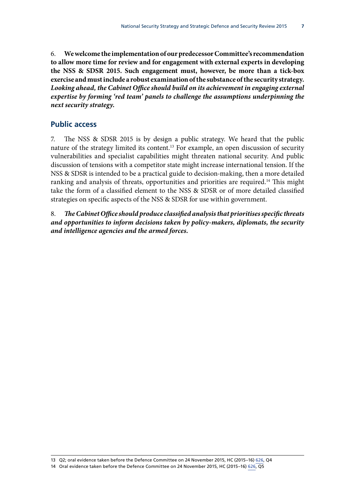<span id="page-12-0"></span>6. **We welcome the implementation of our predecessor Committee's recommendation to allow more time for review and for engagement with external experts in developing the NSS & SDSR 2015. Such engagement must, however, be more than a tick-box exercise and must include a robust examination of the substance of the security strategy.**  *Looking ahead, the Cabinet Office should build on its achievement in engaging external expertise by forming 'red team' panels to challenge the assumptions underpinning the next security strategy.*

#### **Public access**

7. The NSS & SDSR 2015 is by design a public strategy. We heard that the public nature of the strategy limited its content.<sup>13</sup> For example, an open discussion of security vulnerabilities and specialist capabilities might threaten national security. And public discussion of tensions with a competitor state might increase international tension. If the NSS & SDSR is intended to be a practical guide to decision-making, then a more detailed ranking and analysis of threats, opportunities and priorities are required.<sup>14</sup> This might take the form of a classified element to the NSS & SDSR or of more detailed classified strategies on specific aspects of the NSS & SDSR for use within government.

8. *The Cabinet Office should produce classified analysis that prioritises specific threats and opportunities to inform decisions taken by policy-makers, diplomats, the security and intelligence agencies and the armed forces.*

13 Q2; oral evidence taken before the Defence Committee on 24 November 2015, HC (2015–16) [626,](http://data.parliament.uk/writtenevidence/committeeevidence.svc/evidencedocument/defence-committee/publication-of-the-strategic-defence-and-security-review/oral/25041.pdf) Q4 14 Oral evidence taken before the Defence Committee on 24 November 2015, HC (2015–16) [626,](http://data.parliament.uk/writtenevidence/committeeevidence.svc/evidencedocument/defence-committee/publication-of-the-strategic-defence-and-security-review/oral/25041.pdf) Q5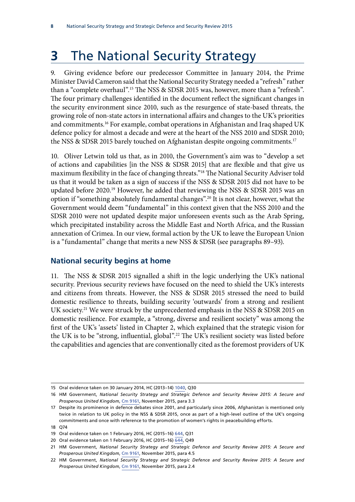# <span id="page-13-0"></span>**3** The National Security Strategy

9. Giving evidence before our predecessor Committee in January 2014, the Prime Minister David Cameron said that the National Security Strategy needed a "refresh" rather than a "complete overhaul".15 The NSS & SDSR 2015 was, however, more than a "refresh". The four primary challenges identified in the document reflect the significant changes in the security environment since 2010, such as the resurgence of state-based threats, the growing role of non-state actors in international affairs and changes to the UK's priorities and commitments.16 For example, combat operations in Afghanistan and Iraq shaped UK defence policy for almost a decade and were at the heart of the NSS 2010 and SDSR 2010; the NSS & SDSR 2015 barely touched on Afghanistan despite ongoing commitments.<sup>17</sup>

10. Oliver Letwin told us that, as in 2010, the Government's aim was to "develop a set of actions and capabilities [in the NSS & SDSR 2015] that are flexible and that give us maximum flexibility in the face of changing threats."18 The National Security Adviser told us that it would be taken as a sign of success if the NSS & SDSR 2015 did not have to be updated before 2020.<sup>19</sup> However, he added that reviewing the NSS & SDSR 2015 was an option if "something absolutely fundamental changes".20 It is not clear, however, what the Government would deem "fundamental" in this context given that the NSS 2010 and the SDSR 2010 were not updated despite major unforeseen events such as the Arab Spring, which precipitated instability across the Middle East and North Africa, and the Russian annexation of Crimea. In our view, formal action by the UK to leave the European Union is a "fundamental" change that merits a new NSS & SDSR (see paragraphs 89–93).

#### **National security begins at home**

11. The NSS & SDSR 2015 signalled a shift in the logic underlying the UK's national security. Previous security reviews have focused on the need to shield the UK's interests and citizens from threats. However, the NSS & SDSR 2015 stressed the need to build domestic resilience to threats, building security 'outwards' from a strong and resilient UK society.<sup>21</sup> We were struck by the unprecedented emphasis in the NSS & SDSR 2015 on domestic resilience. For example, a "strong, diverse and resilient society" was among the first of the UK's 'assets' listed in Chapter 2, which explained that the strategic vision for the UK is to be "strong, influential, global".<sup>22</sup> The UK's resilient society was listed before the capabilities and agencies that are conventionally cited as the foremost providers of UK

<sup>15</sup> Oral evidence taken on 30 January 2014, HC (2013–14) [1040,](http://www.parliament.uk/documents/joint-committees/national-security-strategy/PM%20session/JCNSS14-01-30TranscriptCameronC.pdf) Q30

<sup>16</sup> HM Government, *National Security Strategy and Strategic Defence and Security Review 2015: A Secure and Prosperous United Kingdom*, [Cm 9161,](https://www.gov.uk/government/uploads/system/uploads/attachment_data/file/478933/52309_Cm_9161_NSS_SD_Review_web_only.pdf) November 2015, para 3.3

<sup>17</sup> Despite its prominence in defence debates since 2001, and particularly since 2006, Afghanistan is mentioned only twice in relation to UK policy in the NSS & SDSR 2015, once as part of a high-level outline of the UK's ongoing commitments and once with reference to the promotion of women's rights in peacebuilding efforts.

<sup>18</sup> Q74

<sup>19</sup> Oral evidence taken on 1 February 2016, HC (2015–16) [644,](http://data.parliament.uk/writtenevidence/committeeevidence.svc/evidencedocument/national-security-strategy-committee/work-of-the-national-security-adviser/oral/28227.pdf) Q31

<sup>20</sup> Oral evidence taken on 1 February 2016, HC (2015-16) [644,](http://data.parliament.uk/writtenevidence/committeeevidence.svc/evidencedocument/national-security-strategy-committee/work-of-the-national-security-adviser/oral/28227.pdf) Q49

<sup>21</sup> HM Government, *National Security Strategy and Strategic Defence and Security Review 2015: A Secure and Prosperous United Kingdom*, [Cm 9161,](https://www.gov.uk/government/uploads/system/uploads/attachment_data/file/478933/52309_Cm_9161_NSS_SD_Review_web_only.pdf) November 2015, para 4.5

<sup>22</sup> HM Government, *National Security Strategy and Strategic Defence and Security Review 2015: A Secure and Prosperous United Kingdom*, [Cm 9161,](https://www.gov.uk/government/uploads/system/uploads/attachment_data/file/478933/52309_Cm_9161_NSS_SD_Review_web_only.pdf) November 2015, para 2.4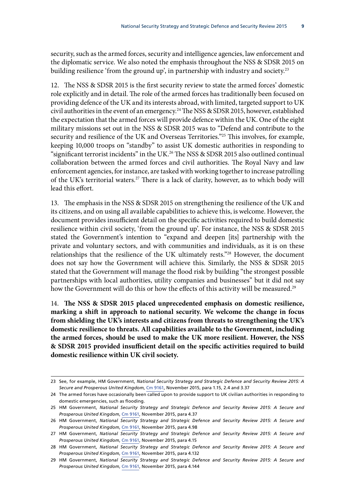security, such as the armed forces, security and intelligence agencies, law enforcement and the diplomatic service. We also noted the emphasis throughout the NSS & SDSR 2015 on building resilience 'from the ground up', in partnership with industry and society.<sup>23</sup>

12. The NSS & SDSR 2015 is the first security review to state the armed forces' domestic role explicitly and in detail. The role of the armed forces has traditionally been focused on providing defence of the UK and its interests abroad, with limited, targeted support to UK civil authorities in the event of an emergency.24 The NSS & SDSR 2015, however, established the expectation that the armed forces will provide defence within the UK. One of the eight military missions set out in the NSS & SDSR 2015 was to "Defend and contribute to the security and resilience of the UK and Overseas Territories."25 This involves, for example, keeping 10,000 troops on "standby" to assist UK domestic authorities in responding to "significant terrorist incidents" in the UK.26 The NSS & SDSR 2015 also outlined continual collaboration between the armed forces and civil authorities. The Royal Navy and law enforcement agencies, for instance, are tasked with working together to increase patrolling of the UK's territorial waters.<sup>27</sup> There is a lack of clarity, however, as to which body will lead this effort.

13. The emphasis in the NSS & SDSR 2015 on strengthening the resilience of the UK and its citizens, and on using all available capabilities to achieve this, is welcome. However, the document provides insufficient detail on the specific activities required to build domestic resilience within civil society, 'from the ground up'. For instance, the NSS & SDSR 2015 stated the Government's intention to "expand and deepen [its] partnership with the private and voluntary sectors, and with communities and individuals, as it is on these relationships that the resilience of the UK ultimately rests."<sup>28</sup> However, the document does not say how the Government will achieve this. Similarly, the NSS & SDSR 2015 stated that the Government will manage the flood risk by building "the strongest possible partnerships with local authorities, utility companies and businesses" but it did not say how the Government will do this or how the effects of this activity will be measured.<sup>29</sup>

14. **The NSS & SDSR 2015 placed unprecedented emphasis on domestic resilience, marking a shift in approach to national security. We welcome the change in focus from shielding the UK's interests and citizens from threats to strengthening the UK's domestic resilience to threats. All capabilities available to the Government, including the armed forces, should be used to make the UK more resilient. However, the NSS & SDSR 2015 provided insufficient detail on the specific activities required to build domestic resilience within UK civil society.**

<sup>23</sup> See, for example, HM Government, *National Security Strategy and Strategic Defence and Security Review 2015: A Secure and Prosperous United Kingdom*, [Cm 9161,](https://www.gov.uk/government/uploads/system/uploads/attachment_data/file/478933/52309_Cm_9161_NSS_SD_Review_web_only.pdf) November 2015, para 1.15, 2.4 and 3.37

<sup>24</sup> The armed forces have occasionally been called upon to provide support to UK civilian authorities in responding to domestic emergencies, such as flooding.

<sup>25</sup> HM Government, *National Security Strategy and Strategic Defence and Security Review 2015: A Secure and Prosperous United Kingdom*, [Cm 9161,](https://www.gov.uk/government/uploads/system/uploads/attachment_data/file/478933/52309_Cm_9161_NSS_SD_Review_web_only.pdf) November 2015, para 4.37

<sup>26</sup> HM Government, *National Security Strategy and Strategic Defence and Security Review 2015: A Secure and Prosperous United Kingdom*, [Cm 9161,](https://www.gov.uk/government/uploads/system/uploads/attachment_data/file/478933/52309_Cm_9161_NSS_SD_Review_web_only.pdf) November 2015, para 4.98

<sup>27</sup> HM Government, *National Security Strategy and Strategic Defence and Security Review 2015: A Secure and Prosperous United Kingdom*, [Cm 9161,](https://www.gov.uk/government/uploads/system/uploads/attachment_data/file/478933/52309_Cm_9161_NSS_SD_Review_web_only.pdf) November 2015, para 4.15

<sup>28</sup> HM Government, *National Security Strategy and Strategic Defence and Security Review 2015: A Secure and Prosperous United Kingdom*, [Cm 9161,](https://www.gov.uk/government/uploads/system/uploads/attachment_data/file/478933/52309_Cm_9161_NSS_SD_Review_web_only.pdf) November 2015, para 4.132

<sup>29</sup> HM Government, *National Security Strategy and Strategic Defence and Security Review 2015: A Secure and Prosperous United Kingdom*, [Cm 9161,](https://www.gov.uk/government/uploads/system/uploads/attachment_data/file/478933/52309_Cm_9161_NSS_SD_Review_web_only.pdf) November 2015, para 4.144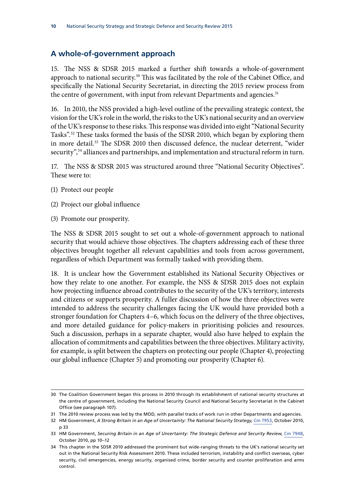#### <span id="page-15-0"></span>**A whole-of-government approach**

15. The NSS & SDSR 2015 marked a further shift towards a whole-of-government approach to national security.<sup>30</sup> This was facilitated by the role of the Cabinet Office, and specifically the National Security Secretariat, in directing the 2015 review process from the centre of government, with input from relevant Departments and agencies.<sup>31</sup>

16. In 2010, the NSS provided a high-level outline of the prevailing strategic context, the vision for the UK's role in the world, the risks to the UK's national security and an overview of the UK's response to these risks. This response was divided into eight "National Security Tasks".32 These tasks formed the basis of the SDSR 2010, which began by exploring them in more detail.<sup>33</sup> The SDSR 2010 then discussed defence, the nuclear deterrent, "wider security",<sup>34</sup> alliances and partnerships, and implementation and structural reform in turn.

17. The NSS & SDSR 2015 was structured around three "National Security Objectives". These were to:

- (1) Protect our people
- (2) Project our global influence
- (3) Promote our prosperity.

The NSS & SDSR 2015 sought to set out a whole-of-government approach to national security that would achieve those objectives. The chapters addressing each of these three objectives brought together all relevant capabilities and tools from across government, regardless of which Department was formally tasked with providing them.

18. It is unclear how the Government established its National Security Objectives or how they relate to one another. For example, the NSS & SDSR 2015 does not explain how projecting influence abroad contributes to the security of the UK's territory, interests and citizens or supports prosperity. A fuller discussion of how the three objectives were intended to address the security challenges facing the UK would have provided both a stronger foundation for Chapters 4–6, which focus on the delivery of the three objectives, and more detailed guidance for policy-makers in prioritising policies and resources. Such a discussion, perhaps in a separate chapter, would also have helped to explain the allocation of commitments and capabilities between the three objectives. Military activity, for example, is split between the chapters on protecting our people (Chapter 4), projecting our global influence (Chapter 5) and promoting our prosperity (Chapter 6).

<sup>30</sup> The Coalition Government began this process in 2010 through its establishment of national security structures at the centre of government, including the National Security Council and National Security Secretariat in the Cabinet Office (see paragraph 107).

<sup>31</sup> The 2010 review process was led by the MOD, with parallel tracks of work run in other Departments and agencies.

<sup>32</sup> HM Government, *A Strong Britain in an Age of Uncertainty: The National Security Strategy*, [Cm 7953](https://www.gov.uk/government/uploads/system/uploads/attachment_data/file/61936/national-security-strategy.pdf), October 2010, p 33

<sup>33</sup> HM Government, *Securing Britain in an Age of Uncertainty: The Strategic Defence and Security Review*, [Cm 7948](https://www.gov.uk/government/uploads/system/uploads/attachment_data/file/62482/strategic-defence-security-review.pdf), October 2010, pp 10–12

<sup>34</sup> This chapter in the SDSR 2010 addressed the prominent but wide-ranging threats to the UK's national security set out in the National Security Risk Assessment 2010. These included terrorism, instability and conflict overseas, cyber security, civil emergencies, energy security, organised crime, border security and counter proliferation and arms control.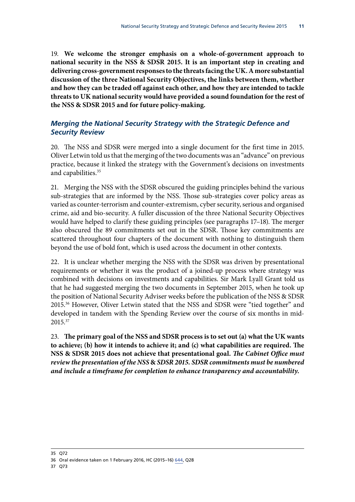<span id="page-16-0"></span>19. **We welcome the stronger emphasis on a whole-of-government approach to national security in the NSS & SDSR 2015. It is an important step in creating and delivering cross-government responses to the threats facing the UK. A more substantial discussion of the three National Security Objectives, the links between them, whether and how they can be traded off against each other, and how they are intended to tackle threats to UK national security would have provided a sound foundation for the rest of the NSS & SDSR 2015 and for future policy-making.**

#### *Merging the National Security Strategy with the Strategic Defence and Security Review*

20. The NSS and SDSR were merged into a single document for the first time in 2015. Oliver Letwin told us that the merging of the two documents was an "advance" on previous practice, because it linked the strategy with the Government's decisions on investments and capabilities.<sup>35</sup>

21. Merging the NSS with the SDSR obscured the guiding principles behind the various sub-strategies that are informed by the NSS. Those sub-strategies cover policy areas as varied as counter-terrorism and counter-extremism, cyber security, serious and organised crime, aid and bio-security. A fuller discussion of the three National Security Objectives would have helped to clarify these guiding principles (see paragraphs 17–18). The merger also obscured the 89 commitments set out in the SDSR. Those key commitments are scattered throughout four chapters of the document with nothing to distinguish them beyond the use of bold font, which is used across the document in other contexts.

22. It is unclear whether merging the NSS with the SDSR was driven by presentational requirements or whether it was the product of a joined-up process where strategy was combined with decisions on investments and capabilities. Sir Mark Lyall Grant told us that he had suggested merging the two documents in September 2015, when he took up the position of National Security Adviser weeks before the publication of the NSS & SDSR 2015.36 However, Oliver Letwin stated that the NSS and SDSR were "tied together" and developed in tandem with the Spending Review over the course of six months in mid-2015.37

23. **The primary goal of the NSS and SDSR process is to set out (a) what the UK wants to achieve; (b) how it intends to achieve it; and (c) what capabilities are required. The NSS & SDSR 2015 does not achieve that presentational goal.** *The Cabinet Office must review the presentation of the NSS* **&** *SDSR 2015. SDSR commitments must be numbered and include a timeframe for completion to enhance transparency and accountability.*

<sup>35</sup> Q72

<sup>36</sup> Oral evidence taken on 1 February 2016, HC (2015–16) [644,](http://data.parliament.uk/writtenevidence/committeeevidence.svc/evidencedocument/national-security-strategy-committee/work-of-the-national-security-adviser/oral/28227.pdf) Q28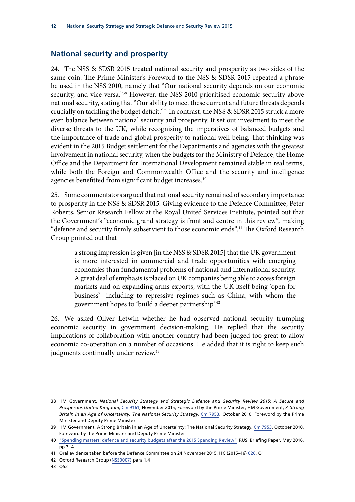#### <span id="page-17-0"></span>**National security and prosperity**

24. The NSS & SDSR 2015 treated national security and prosperity as two sides of the same coin. The Prime Minister's Foreword to the NSS & SDSR 2015 repeated a phrase he used in the NSS 2010, namely that "Our national security depends on our economic security, and vice versa."<sup>38</sup> However, the NSS 2010 prioritised economic security above national security, stating that "Our ability to meet these current and future threats depends crucially on tackling the budget deficit."39 In contrast, the NSS & SDSR 2015 struck a more even balance between national security and prosperity. It set out investment to meet the diverse threats to the UK, while recognising the imperatives of balanced budgets and the importance of trade and global prosperity to national well-being. That thinking was evident in the 2015 Budget settlement for the Departments and agencies with the greatest involvement in national security, when the budgets for the Ministry of Defence, the Home Office and the Department for International Development remained stable in real terms, while both the Foreign and Commonwealth Office and the security and intelligence agencies benefitted from significant budget increases.<sup>40</sup>

25. Some commentators argued that national security remained of secondary importance to prosperity in the NSS & SDSR 2015. Giving evidence to the Defence Committee, Peter Roberts, Senior Research Fellow at the Royal United Services Institute, pointed out that the Government's "economic grand strategy is front and centre in this review", making "defence and security firmly subservient to those economic ends".41 The Oxford Research Group pointed out that

a strong impression is given [in the NSS & SDSR 2015] that the UK government is more interested in commercial and trade opportunities with emerging economies than fundamental problems of national and international security. A great deal of emphasis is placed on UK companies being able to access foreign markets and on expanding arms exports, with the UK itself being 'open for business'—including to repressive regimes such as China, with whom the government hopes to 'build a deeper partnership'.42

26. We asked Oliver Letwin whether he had observed national security trumping economic security in government decision-making. He replied that the security implications of collaboration with another country had been judged too great to allow economic co-operation on a number of occasions. He added that it is right to keep such judgments continually under review.<sup>43</sup>

43 Q52

<sup>38</sup> HM Government, *National Security Strategy and Strategic Defence and Security Review 2015: A Secure and Prosperous United Kingdom*, [Cm 9161,](https://www.gov.uk/government/uploads/system/uploads/attachment_data/file/478933/52309_Cm_9161_NSS_SD_Review_web_only.pdf) November 2015, Foreword by the Prime Minister; HM Government, *A Strong Britain in an Age of Uncertainty: The National Security Strategy*, [Cm 7953](https://www.gov.uk/government/uploads/system/uploads/attachment_data/file/61936/national-security-strategy.pdf), October 2010, Foreword by the Prime Minister and Deputy Prime Minister

<sup>39</sup> HM Government, A Strong Britain in an Age of Uncertainty: The National Security Strategy, [Cm 7953](https://www.gov.uk/government/uploads/system/uploads/attachment_data/file/61936/national-security-strategy.pdf), October 2010, Foreword by the Prime Minister and Deputy Prime Minister

<sup>40</sup> ["Spending matters: defence and security budgets after the 2015 Spending Review",](https://rusi.org/sites/default/files/chalmers_spending_matters_1.pdf) RUSI Briefing Paper, May 2016, pp 3–4

<sup>41</sup> Oral evidence taken before the Defence Committee on 24 November 2015, HC (2015–16) [626,](http://data.parliament.uk/writtenevidence/committeeevidence.svc/evidencedocument/defence-committee/publication-of-the-strategic-defence-and-security-review/oral/25041.pdf) Q1

<sup>42</sup> Oxford Research Group [\(NSS0007](http://data.parliament.uk/writtenevidence/committeeevidence.svc/evidencedocument/national-security-strategy-committee/national-security-strategy-and-the-strategic-defence-and-security-review-2015/written/30445.pdf)) para 1.4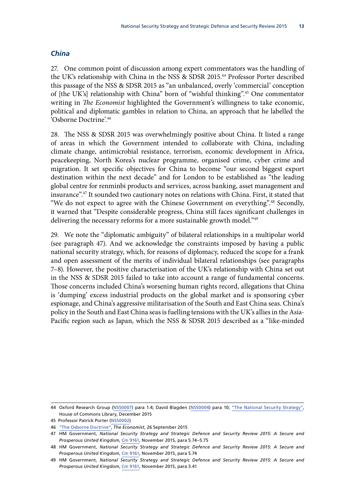#### <span id="page-18-0"></span>*China*

27. One common point of discussion among expert commentators was the handling of the UK's relationship with China in the NSS & SDSR 2015.44 Professor Porter described this passage of the NSS & SDSR 2015 as "an unbalanced, overly 'commercial' conception of [the UK's] relationship with China" born of "wishful thinking".45 One commentator writing in *The Economist* highlighted the Government's willingness to take economic, political and diplomatic gambles in relation to China, an approach that he labelled the 'Osborne Doctrine'.46

28. The NSS & SDSR 2015 was overwhelmingly positive about China. It listed a range of areas in which the Government intended to collaborate with China, including climate change, antimicrobial resistance, terrorism, economic development in Africa, peacekeeping, North Korea's nuclear programme, organised crime, cyber crime and migration. It set specific objectives for China to become "our second biggest export destination within the next decade" and for London to be established as "the leading global centre for renminbi products and services, across banking, asset management and insurance".47 It sounded two cautionary notes on relations with China. First, it stated that "We do not expect to agree with the Chinese Government on everything".48 Secondly, it warned that "Despite considerable progress, China still faces significant challenges in delivering the necessary reforms for a more sustainable growth model."<sup>49</sup>

29. We note the "diplomatic ambiguity" of bilateral relationships in a multipolar world (see paragraph 47). And we acknowledge the constraints imposed by having a public national security strategy, which, for reasons of diplomacy, reduced the scope for a frank and open assessment of the merits of individual bilateral relationships (see paragraphs 7–8). However, the positive characterisation of the UK's relationship with China set out in the NSS & SDSR 2015 failed to take into account a range of fundamental concerns. Those concerns included China's worsening human rights record, allegations that China is 'dumping' excess industrial products on the global market and is sponsoring cyber espionage, and China's aggressive militarisation of the South and East China seas. China's policy in the South and East China seas is fuelling tensions with the UK's allies in the Asia-Pacific region such as Japan, which the NSS & SDSR 2015 described as a "like-minded

<sup>44</sup> Oxford Research Group [\(NSS0007](http://data.parliament.uk/writtenevidence/committeeevidence.svc/evidencedocument/national-security-strategy-committee/national-security-strategy-and-the-strategic-defence-and-security-review-2015/written/30445.pdf)) para 1.4; David Blagden ([NSS0004\)](http://data.parliament.uk/writtenevidence/committeeevidence.svc/evidencedocument/national-security-strategy-committee/national-security-strategy-and-the-strategic-defence-and-security-review-2015/written/30392.pdf) para 10; ["The National Security Strategy"](http://researchbriefings.files.parliament.uk/documents/CBP-7431/CBP-7431.pdf), House of Commons Library, December 2015

<sup>45</sup> Professor Patrick Porter [\(NSS0002\)](http://data.parliament.uk/writtenevidence/committeeevidence.svc/evidencedocument/national-security-strategy-committee/national-security-strategy-and-the-strategic-defence-and-security-review-2015/written/30256.html)

<sup>46</sup> ["The Osborne Doctrine"](http://www.economist.com/news/britain/21667935-britain-sleepwalking-much-closer-relationship-china-osborne-doctrine), *The Economist*, 26 September 2015

<sup>47</sup> HM Government, *National Security Strategy and Strategic Defence and Security Review 2015: A Secure and Prosperous United Kingdom*, [Cm 9161,](https://www.gov.uk/government/uploads/system/uploads/attachment_data/file/478933/52309_Cm_9161_NSS_SD_Review_web_only.pdf) November 2015, para 5.74–5.75

<sup>48</sup> HM Government, *National Security Strategy and Strategic Defence and Security Review 2015: A Secure and Prosperous United Kingdom*, [Cm 9161,](https://www.gov.uk/government/uploads/system/uploads/attachment_data/file/478933/52309_Cm_9161_NSS_SD_Review_web_only.pdf) November 2015, para 5.74

<sup>49</sup> HM Government, *National Security Strategy and Strategic Defence and Security Review 2015: A Secure and Prosperous United Kingdom*, [Cm 9161,](https://www.gov.uk/government/uploads/system/uploads/attachment_data/file/478933/52309_Cm_9161_NSS_SD_Review_web_only.pdf) November 2015, para 3.41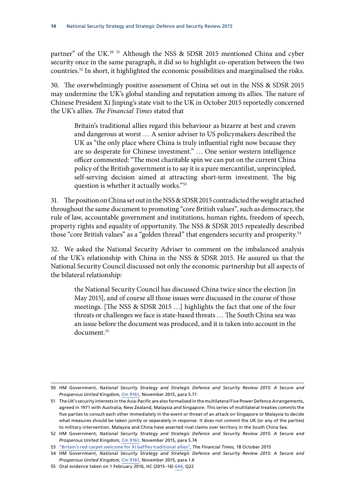partner" of the UK.<sup>50 51</sup> Although the NSS & SDSR 2015 mentioned China and cyber security once in the same paragraph, it did so to highlight co-operation between the two countries.52 In short, it highlighted the economic possibilities and marginalised the risks.

30. The overwhelmingly positive assessment of China set out in the NSS & SDSR 2015 may undermine the UK's global standing and reputation among its allies. The nature of Chinese President Xi Jinping's state visit to the UK in October 2015 reportedly concerned the UK's allies. *The Financial Times* stated that

Britain's traditional allies regard this behaviour as bizarre at best and craven and dangerous at worst … A senior adviser to US policymakers described the UK as "the only place where China is truly influential right now because they are so desperate for Chinese investment." … One senior western intelligence officer commented: "The most charitable spin we can put on the current China policy of the British government is to say it is a pure mercantilist, unprincipled, self-serving decision aimed at attracting short-term investment. The big question is whether it actually works."53

31. The position on China set out in the NSS & SDSR 2015 contradicted the weight attached throughout the same document to promoting "core British values", such as democracy, the rule of law, accountable government and institutions, human rights, freedom of speech, property rights and equality of opportunity. The NSS & SDSR 2015 repeatedly described those "core British values" as a "golden thread" that engenders security and prosperity.<sup>54</sup>

32. We asked the National Security Adviser to comment on the imbalanced analysis of the UK's relationship with China in the NSS & SDSR 2015. He assured us that the National Security Council discussed not only the economic partnership but all aspects of the bilateral relationship:

the National Security Council has discussed China twice since the election [in May 2015], and of course all those issues were discussed in the course of those meetings. [The NSS & SDSR 2015 …] highlights the fact that one of the four threats or challenges we face is state-based threats … The South China sea was an issue before the document was produced, and it is taken into account in the document.<sup>55</sup>

<sup>50</sup> HM Government, *National Security Strategy and Strategic Defence and Security Review 2015: A Secure and Prosperous United Kingdom*, [Cm 9161,](https://www.gov.uk/government/uploads/system/uploads/attachment_data/file/478933/52309_Cm_9161_NSS_SD_Review_web_only.pdf) November 2015, para 5.71

<sup>51</sup> The UK's security interests in the Asia-Pacific are also formalised in the multilateral Five Power Defence Arrangements, agreed in 1971 with Australia, New Zealand, Malaysia and Singapore. This series of multilateral treaties commits the five parties to consult each other immediately in the event or threat of an attack on Singapore or Malaysia to decide what measures should be taken jointly or separately in response. It does not commit the UK (or any of the parties) to military intervention. Malaysia and China have asserted rival claims over territory in the South China Sea.

<sup>52</sup> HM Government, *National Security Strategy and Strategic Defence and Security Review 2015: A Secure and Prosperous United Kingdom*, [Cm 9161,](https://www.gov.uk/government/uploads/system/uploads/attachment_data/file/478933/52309_Cm_9161_NSS_SD_Review_web_only.pdf) November 2015, para 5.74

<sup>53</sup> ["Britain's red-carpet welcome for Xi baffles traditional allies",](http://www.ft.com/cms/s/0/3e5a866a-7579-11e5-933d-efcdc3c11c89.html) *The Financial Times*, 18 October 2015

<sup>54</sup> HM Government, *National Security Strategy and Strategic Defence and Security Review 2015: A Secure and Prosperous United Kingdom*, [Cm 9161,](https://www.gov.uk/government/uploads/system/uploads/attachment_data/file/478933/52309_Cm_9161_NSS_SD_Review_web_only.pdf) November 2015, para 1.6

<sup>55</sup> Oral evidence taken on 1 February 2016, HC (2015–16) [644,](http://data.parliament.uk/writtenevidence/committeeevidence.svc/evidencedocument/national-security-strategy-committee/work-of-the-national-security-adviser/oral/28227.pdf) Q22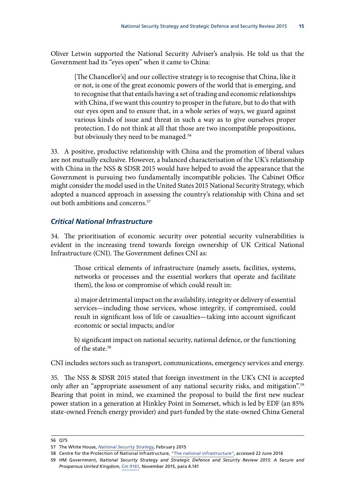<span id="page-20-0"></span>Oliver Letwin supported the National Security Adviser's analysis. He told us that the Government had its "eyes open" when it came to China:

[The Chancellor's] and our collective strategy is to recognise that China, like it or not, is one of the great economic powers of the world that is emerging, and to recognise that that entails having a set of trading and economic relationships with China, if we want this country to prosper in the future, but to do that with our eyes open and to ensure that, in a whole series of ways, we guard against various kinds of issue and threat in such a way as to give ourselves proper protection. I do not think at all that those are two incompatible propositions, but obviously they need to be managed.<sup>56</sup>

33. A positive, productive relationship with China and the promotion of liberal values are not mutually exclusive. However, a balanced characterisation of the UK's relationship with China in the NSS & SDSR 2015 would have helped to avoid the appearance that the Government is pursuing two fundamentally incompatible policies. The Cabinet Office might consider the model used in the United States 2015 National Security Strategy, which adopted a nuanced approach in assessing the country's relationship with China and set out both ambitions and concerns.<sup>57</sup>

#### *Critical National Infrastructure*

34. The prioritisation of economic security over potential security vulnerabilities is evident in the increasing trend towards foreign ownership of UK Critical National Infrastructure (CNI). The Government defines CNI as:

Those critical elements of infrastructure (namely assets, facilities, systems, networks or processes and the essential workers that operate and facilitate them), the loss or compromise of which could result in:

a) major detrimental impact on the availability, integrity or delivery of essential services—including those services, whose integrity, if compromised, could result in significant loss of life or casualties—taking into account significant economic or social impacts; and/or

b) significant impact on national security, national defence, or the functioning of the state.58

CNI includes sectors such as transport, communications, emergency services and energy.

35. The NSS & SDSR 2015 stated that foreign investment in the UK's CNI is accepted only after an "appropriate assessment of any national security risks, and mitigation".<sup>59</sup> Bearing that point in mind, we examined the proposal to build the first new nuclear power station in a generation at Hinkley Point in Somerset, which is led by EDF (an 85% state-owned French energy provider) and part-funded by the state-owned China General

<sup>56</sup> Q75

<sup>57</sup> The White House, *[National Security Strategy](https://www.whitehouse.gov/sites/default/files/docs/2015_national_security_strategy.pdf)*, February 2015

<sup>58</sup> Centre for the Protection of National Infrastructure, ["The national infrastructure"](http://www.cpni.gov.uk/about/cni/), accessed 22 June 2016

<sup>59</sup> HM Government, *National Security Strategy and Strategic Defence and Security Review 2015: A Secure and Prosperous United Kingdom*, [Cm 9161,](https://www.gov.uk/government/uploads/system/uploads/attachment_data/file/478933/52309_Cm_9161_NSS_SD_Review_web_only.pdf) November 2015, para 4.141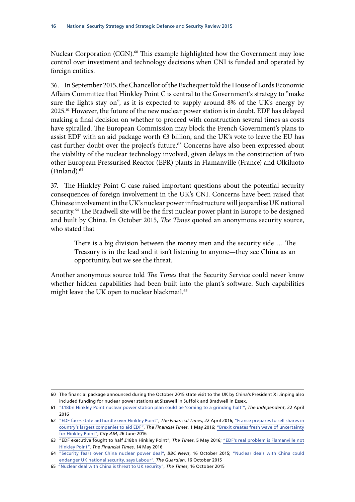Nuclear Corporation (CGN).<sup>60</sup> This example highlighted how the Government may lose control over investment and technology decisions when CNI is funded and operated by foreign entities.

36. In September 2015, the Chancellor of the Exchequer told the House of Lords Economic Affairs Committee that Hinkley Point C is central to the Government's strategy to "make sure the lights stay on", as it is expected to supply around 8% of the UK's energy by 2025.61 However, the future of the new nuclear power station is in doubt. EDF has delayed making a final decision on whether to proceed with construction several times as costs have spiralled. The European Commission may block the French Government's plans to assist EDF with an aid package worth  $\epsilon$ 3 billion, and the UK's vote to leave the EU has cast further doubt over the project's future.<sup>62</sup> Concerns have also been expressed about the viability of the nuclear technology involved, given delays in the construction of two other European Pressurised Reactor (EPR) plants in Flamanville (France) and Olkiluoto (Finland).63

37. The Hinkley Point C case raised important questions about the potential security consequences of foreign involvement in the UK's CNI. Concerns have been raised that Chinese involvement in the UK's nuclear power infrastructure will jeopardise UK national security.<sup>64</sup> The Bradwell site will be the first nuclear power plant in Europe to be designed and built by China. In October 2015, *The Times* quoted an anonymous security source, who stated that

There is a big division between the money men and the security side … The Treasury is in the lead and it isn't listening to anyone—they see China as an opportunity, but we see the threat.

Another anonymous source told *The Times* that the Security Service could never know whether hidden capabilities had been built into the plant's software. Such capabilities might leave the UK open to nuclear blackmail.<sup>65</sup>

<sup>60</sup> The financial package announced during the October 2015 state visit to the UK by China's President Xi Jinping also included funding for nuclear power stations at Sizewell in Suffolk and Bradwell in Essex.

<sup>61</sup> ["£18bn Hinkley Point nuclear power station plan could be 'coming to a grinding halt'",](http://www.independent.co.uk/news/uk/18bn-hinkley-point-nuclear-power-station-plan-could-be-coming-to-a-grinding-halt-a6997131.html) *The Independent*, 22 April 2016

<sup>62</sup> "EDF faces state aid hurdle over Hinkley Point", *The Financial Times*, 22 April 2016; "France prepares to sell shares in country's largest companies to aid EDF", *The Financial Times*, 1 May 2016; ["Brexit creates fresh wave of uncertainty](http://www.cityam.com/244154/brexit-fresh-wave-uncertainty-hinkley-point-c-somerset) [for Hinkley Point"](http://www.cityam.com/244154/brexit-fresh-wave-uncertainty-hinkley-point-c-somerset), *City AM*, 26 June 2016

<sup>63</sup> "EDF executive fought to half £18bn Hinkley Point", *The Times*, 5 May 2016; ["EDF's real problem is Flamanville not](http://blogs.ft.com/nick-butler/2016/05/14/edfs-real-problem-is-flamanville-not-hinkley-point/) [Hinkley Point",](http://blogs.ft.com/nick-butler/2016/05/14/edfs-real-problem-is-flamanville-not-hinkley-point/) *The Financial Times*, 14 May 2016

<sup>64</sup> ["Security fears over China nuclear power deal"](http://www.bbc.co.uk/news/uk-politics-34549478), *BBC News*, 16 October 2015; ["Nuclear deals with China could](https://www.theguardian.com/environment/2015/oct/16/nuclear-deals-with-china-could-endanger-uk-national-security-says-labour) [endanger UK national security, says Labour"](https://www.theguardian.com/environment/2015/oct/16/nuclear-deals-with-china-could-endanger-uk-national-security-says-labour), *The Guardian*, 16 October 2015

<sup>65</sup> ["Nuclear deal with China is threat to UK security"](http://www.thetimes.co.uk/tto/news/politics/article4587446.ece), *The Times*, 16 October 2015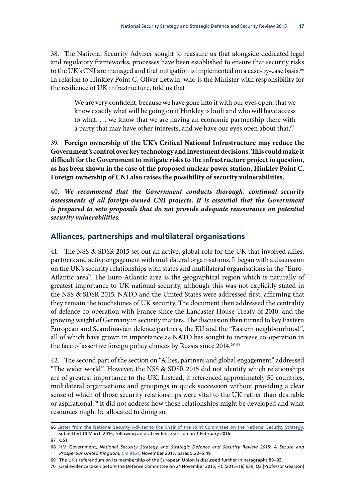<span id="page-22-0"></span>38. The National Security Adviser sought to reassure us that alongside dedicated legal and regulatory frameworks, processes have been established to ensure that security risks to the UK's CNI are managed and that mitigation is implemented on a case-by-case basis.<sup>66</sup> In relation to Hinkley Point C, Oliver Letwin, who is the Minister with responsibility for the resilience of UK infrastructure, told us that

We are very confident, because we have gone into it with our eyes open, that we know exactly what will be going on if Hinkley is built and who will have access to what. … we know that we are having an economic partnership there with a party that may have other interests, and we have our eyes open about that. $67$ 

39. **Foreign ownership of the UK's Critical National Infrastructure may reduce the Government's control over key technology and investment decisions. This could make it difficult for the Government to mitigate risks to the infrastructure project in question, as has been shown in the case of the proposed nuclear power station, Hinkley Point C. Foreign ownership of CNI also raises the possibility of security vulnerabilities.**

40. *We recommend that the Government conducts thorough, continual security assessments of all foreign-owned CNI projects. It is essential that the Government is prepared to veto proposals that do not provide adequate reassurance on potential security vulnerabilities.*

#### **Alliances, partnerships and multilateral organisations**

41. The NSS & SDSR 2015 set out an active, global role for the UK that involved allies, partners and active engagement with multilateral organisations. It began with a discussion on the UK's security relationships with states and multilateral organisations in the "Euro-Atlantic area". The Euro-Atlantic area is the geographical region which is naturally of greatest importance to UK national security, although this was not explicitly stated in the NSS & SDSR 2015. NATO and the United States were addressed first, affirming that they remain the touchstones of UK security. The document then addressed the centrality of defence co-operation with France since the Lancaster House Treaty of 2010, and the growing weight of Germany in security matters. The discussion then turned to key Eastern European and Scandinavian defence partners, the EU and the "Eastern neighbourhood", all of which have grown in importance as NATO has sought to increase co-operation in the face of assertive foreign policy choices by Russia since 2014.<sup>68 69</sup>

42. The second part of the section on "Allies, partners and global engagement" addressed "The wider world". However, the NSS & SDSR 2015 did not identify which relationships are of greatest importance to the UK. Instead, it referenced approximately 50 countries, multilateral organisations and groupings in quick succession without providing a clear sense of which of those security relationships were vital to the UK rather than desirable or aspirational.<sup>70</sup> It did not address how those relationships might be developed and what resources might be allocated to doing so.

<sup>66</sup> [Letter from the National Security Adviser to the Chair of the Joint Committee on the National Security Strategy](http://www.parliament.uk/documents/joint-committees/national-security-strategy/Correspondence/2015-20-Parliament/NSA-Letter-to-Chair-JCNSS-dated-10-March-2016.pdf), submitted 10 March 2016, following an oral evidence session on 1 February 2016.

<sup>67</sup> Q51

<sup>68</sup> HM Government, *National Security Strategy and Strategic Defence and Security Review 2015: A Secure and Prosperous United Kingdom*, [Cm 9161,](https://www.gov.uk/government/uploads/system/uploads/attachment_data/file/478933/52309_Cm_9161_NSS_SD_Review_web_only.pdf) November 2015, paras 5.23–5.49

<sup>69</sup> The UK's referendum on its membership of the European Union is discussed further in paragraphs 89–93.

<sup>70</sup> Oral evidence taken before the Defence Committee on 24 November 2015, HC (2015–16) [626](http://data.parliament.uk/writtenevidence/committeeevidence.svc/evidencedocument/defence-committee/publication-of-the-strategic-defence-and-security-review/oral/25041.pdf), Q2 [Professor Gearson]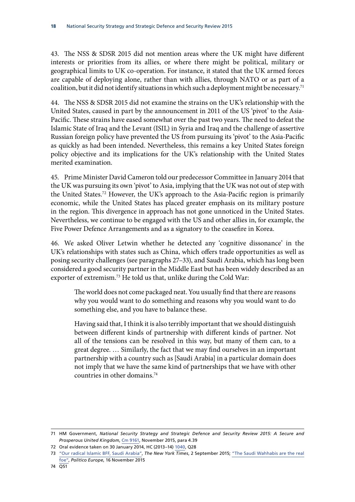43. The NSS & SDSR 2015 did not mention areas where the UK might have different interests or priorities from its allies, or where there might be political, military or geographical limits to UK co-operation. For instance, it stated that the UK armed forces are capable of deploying alone, rather than with allies, through NATO or as part of a coalition, but it did not identify situations in which such a deployment might be necessary.<sup>71</sup>

44. The NSS & SDSR 2015 did not examine the strains on the UK's relationship with the United States, caused in part by the announcement in 2011 of the US 'pivot' to the Asia-Pacific. These strains have eased somewhat over the past two years. The need to defeat the Islamic State of Iraq and the Levant (ISIL) in Syria and Iraq and the challenge of assertive Russian foreign policy have prevented the US from pursuing its 'pivot' to the Asia-Pacific as quickly as had been intended. Nevertheless, this remains a key United States foreign policy objective and its implications for the UK's relationship with the United States merited examination.

45. Prime Minister David Cameron told our predecessor Committee in January 2014 that the UK was pursuing its own 'pivot' to Asia, implying that the UK was not out of step with the United States.72 However, the UK's approach to the Asia-Pacific region is primarily economic, while the United States has placed greater emphasis on its military posture in the region. This divergence in approach has not gone unnoticed in the United States. Nevertheless, we continue to be engaged with the US and other allies in, for example, the Five Power Defence Arrangements and as a signatory to the ceasefire in Korea.

46. We asked Oliver Letwin whether he detected any 'cognitive dissonance' in the UK's relationships with states such as China, which offers trade opportunities as well as posing security challenges (see paragraphs 27–33), and Saudi Arabia, which has long been considered a good security partner in the Middle East but has been widely described as an exporter of extremism.<sup>73</sup> He told us that, unlike during the Cold War:

The world does not come packaged neat. You usually find that there are reasons why you would want to do something and reasons why you would want to do something else, and you have to balance these.

Having said that, I think it is also terribly important that we should distinguish between different kinds of partnership with different kinds of partner. Not all of the tensions can be resolved in this way, but many of them can, to a great degree. … Similarly, the fact that we may find ourselves in an important partnership with a country such as [Saudi Arabia] in a particular domain does not imply that we have the same kind of partnerships that we have with other countries in other domains.74

<sup>71</sup> HM Government, *National Security Strategy and Strategic Defence and Security Review 2015: A Secure and Prosperous United Kingdom*, [Cm 9161,](https://www.gov.uk/government/uploads/system/uploads/attachment_data/file/478933/52309_Cm_9161_NSS_SD_Review_web_only.pdf) November 2015, para 4.39

<sup>72</sup> Oral evidence taken on 30 January 2014, HC (2013–14) [1040,](http://www.parliament.uk/documents/joint-committees/national-security-strategy/PM%20session/JCNSS14-01-30TranscriptCameronC.pdf) Q28

<sup>73</sup> ["Our radical Islamic BFF, Saudi Arabia",](http://www.nytimes.com/2015/09/02/opinion/thomas-friedman-our-radical-islamic-bff-saudi-arabia.html?_r=0) *The New York Times*, 2 September 2015; ["The Saudi Wahhabis are the real](http://www.politico.eu/article/the-saudi-wahhabis-are-the-real-foe-islamic-terrorists-salafi-violence/) [foe",](http://www.politico.eu/article/the-saudi-wahhabis-are-the-real-foe-islamic-terrorists-salafi-violence/) *Politico Europe*, 16 November 2015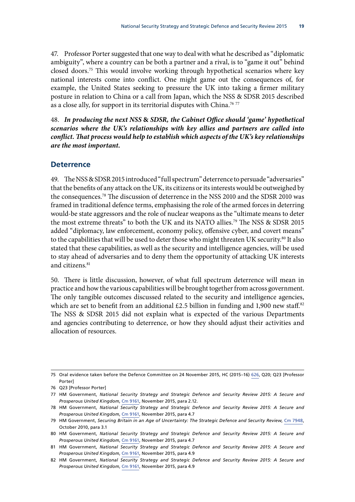<span id="page-24-0"></span>47. Professor Porter suggested that one way to deal with what he described as "diplomatic ambiguity", where a country can be both a partner and a rival, is to "game it out" behind closed doors.75 This would involve working through hypothetical scenarios where key national interests come into conflict. One might game out the consequences of, for example, the United States seeking to pressure the UK into taking a firmer military posture in relation to China or a call from Japan, which the NSS & SDSR 2015 described as a close ally, for support in its territorial disputes with China.<sup>76 77</sup>

48. *In producing the next NSS* **&** *SDSR, the Cabinet Office should 'game' hypothetical scenarios where the UK's relationships with key allies and partners are called into conflict. That process would help to establish which aspects of the UK's key relationships are the most important.*

#### **Deterrence**

49. The NSS & SDSR 2015 introduced "full spectrum" deterrence to persuade "adversaries" that the benefits of any attack on the UK, its citizens or its interests would be outweighed by the consequences.78 The discussion of deterrence in the NSS 2010 and the SDSR 2010 was framed in traditional defence terms, emphasising the role of the armed forces in deterring would-be state aggressors and the role of nuclear weapons as the "ultimate means to deter the most extreme threats" to both the UK and its NATO allies.<sup>79</sup> The NSS & SDSR 2015 added "diplomacy, law enforcement, economy policy, offensive cyber, and covert means" to the capabilities that will be used to deter those who might threaten UK security.<sup>80</sup> It also stated that these capabilities, as well as the security and intelligence agencies, will be used to stay ahead of adversaries and to deny them the opportunity of attacking UK interests and citizens.<sup>81</sup>

50. There is little discussion, however, of what full spectrum deterrence will mean in practice and how the various capabilities will be brought together from across government. The only tangible outcomes discussed related to the security and intelligence agencies, which are set to benefit from an additional £2.5 billion in funding and 1,900 new staff.<sup>82</sup> The NSS & SDSR 2015 did not explain what is expected of the various Departments and agencies contributing to deterrence, or how they should adjust their activities and allocation of resources.

<sup>75</sup> Oral evidence taken before the Defence Committee on 24 November 2015, HC (2015–16) [626](http://data.parliament.uk/writtenevidence/committeeevidence.svc/evidencedocument/defence-committee/publication-of-the-strategic-defence-and-security-review/oral/25041.pdf), Q20; Q23 [Professor Porter]

<sup>76</sup> Q23 [Professor Porter]

<sup>77</sup> HM Government, *National Security Strategy and Strategic Defence and Security Review 2015: A Secure and Prosperous United Kingdom*, [Cm 9161,](https://www.gov.uk/government/uploads/system/uploads/attachment_data/file/478933/52309_Cm_9161_NSS_SD_Review_web_only.pdf) November 2015, para 2.12.

<sup>78</sup> HM Government, *National Security Strategy and Strategic Defence and Security Review 2015: A Secure and Prosperous United Kingdom*, [Cm 9161,](https://www.gov.uk/government/uploads/system/uploads/attachment_data/file/478933/52309_Cm_9161_NSS_SD_Review_web_only.pdf) November 2015, para 4.7

<sup>79</sup> HM Government, *Securing Britain in an Age of Uncertainty: The Strategic Defence and Security Review*, [Cm 7948](https://www.gov.uk/government/uploads/system/uploads/attachment_data/file/62482/strategic-defence-security-review.pdf), October 2010, para 3.1

<sup>80</sup> HM Government, *National Security Strategy and Strategic Defence and Security Review 2015: A Secure and Prosperous United Kingdom*, [Cm 9161,](https://www.gov.uk/government/uploads/system/uploads/attachment_data/file/478933/52309_Cm_9161_NSS_SD_Review_web_only.pdf) November 2015, para 4.7

<sup>81</sup> HM Government, *National Security Strategy and Strategic Defence and Security Review 2015: A Secure and Prosperous United Kingdom*, [Cm 9161,](https://www.gov.uk/government/uploads/system/uploads/attachment_data/file/478933/52309_Cm_9161_NSS_SD_Review_web_only.pdf) November 2015, para 4.9

<sup>82</sup> HM Government, *National Security Strategy and Strategic Defence and Security Review 2015: A Secure and Prosperous United Kingdom*, [Cm 9161,](https://www.gov.uk/government/uploads/system/uploads/attachment_data/file/478933/52309_Cm_9161_NSS_SD_Review_web_only.pdf) November 2015, para 4.9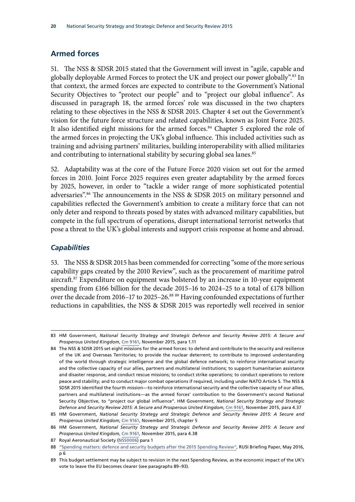#### <span id="page-25-0"></span>**Armed forces**

51. The NSS & SDSR 2015 stated that the Government will invest in "agile, capable and globally deployable Armed Forces to protect the UK and project our power globally".83 In that context, the armed forces are expected to contribute to the Government's National Security Objectives to "protect our people" and to "project our global influence". As discussed in paragraph 18, the armed forces' role was discussed in the two chapters relating to these objectives in the NSS & SDSR 2015. Chapter 4 set out the Government's vision for the future force structure and related capabilities, known as Joint Force 2025. It also identified eight missions for the armed forces.<sup>84</sup> Chapter 5 explored the role of the armed forces in projecting the UK's global influence. This included activities such as training and advising partners' militaries, building interoperability with allied militaries and contributing to international stability by securing global sea lanes.<sup>85</sup>

52. Adaptability was at the core of the Future Force 2020 vision set out for the armed forces in 2010. Joint Force 2025 requires even greater adaptability by the armed forces by 2025, however, in order to "tackle a wider range of more sophisticated potential adversaries".<sup>86</sup> The announcements in the NSS & SDSR 2015 on military personnel and capabilities reflected the Government's ambition to create a military force that can not only deter and respond to threats posed by states with advanced military capabilities, but compete in the full spectrum of operations, disrupt international terrorist networks that pose a threat to the UK's global interests and support crisis response at home and abroad.

#### *Capabilities*

53. The NSS & SDSR 2015 has been commended for correcting "some of the more serious capability gaps created by the 2010 Review", such as the procurement of maritime patrol aircraft.87 Expenditure on equipment was bolstered by an increase in 10-year equipment spending from £166 billion for the decade 2015–16 to 2024–25 to a total of £178 billion over the decade from 2016–17 to 2025–26.<sup>88 89</sup> Having confounded expectations of further reductions in capabilities, the NSS & SDSR 2015 was reportedly well received in senior

87 Royal Aeronautical Society ([NSS0006](http://data.parliament.uk/writtenevidence/committeeevidence.svc/evidencedocument/national-security-strategy-committee/national-security-strategy-and-the-strategic-defence-and-security-review-2015/written/30441.pdf)) para 1

<sup>83</sup> HM Government, *National Security Strategy and Strategic Defence and Security Review 2015: A Secure and Prosperous United Kingdom*, [Cm 9161,](https://www.gov.uk/government/uploads/system/uploads/attachment_data/file/478933/52309_Cm_9161_NSS_SD_Review_web_only.pdf) November 2015, para 1.11

<sup>84</sup> The NSS & SDSR 2015 set eight missions for the armed forces: to defend and contribute to the security and resilience of the UK and Overseas Territories; to provide the nuclear deterrent; to contribute to improved understanding of the world through strategic intelligence and the global defence network; to reinforce international security and the collective capacity of our allies, partners and multilateral institutions; to support humanitarian assistance and disaster response, and conduct rescue missions; to conduct strike operations; to conduct operations to restore peace and stability; and to conduct major combat operations if required, including under NATO Article 5. The NSS & SDSR 2015 identified the fourth mission—to reinforce international security and the collective capacity of our allies, partners and multilateral institutions—as the armed forces' contribution to the Government's second National Security Objective, to "project our global influence". HM Government, *National Security Strategy and Strategic Defence and Security Review 2015: A Secure and Prosperous United Kingdom*, [Cm 9161](https://www.gov.uk/government/uploads/system/uploads/attachment_data/file/478933/52309_Cm_9161_NSS_SD_Review_web_only.pdf), November 2015, para 4.37

<sup>85</sup> HM Government, *National Security Strategy and Strategic Defence and Security Review 2015: A Secure and Prosperous United Kingdom*, [Cm 9161,](https://www.gov.uk/government/uploads/system/uploads/attachment_data/file/478933/52309_Cm_9161_NSS_SD_Review_web_only.pdf) November 2015, chapter 5

<sup>86</sup> HM Government, *National Security Strategy and Strategic Defence and Security Review 2015: A Secure and Prosperous United Kingdom*, [Cm 9161,](https://www.gov.uk/government/uploads/system/uploads/attachment_data/file/478933/52309_Cm_9161_NSS_SD_Review_web_only.pdf) November 2015, para 4.38

<sup>88</sup> ["Spending matters: defence and security budgets after the 2015 Spending Review",](https://rusi.org/sites/default/files/chalmers_spending_matters_1.pdf) RUSI Briefing Paper, May 2016, p 6

<sup>89</sup> This budget settlement may be subject to revision in the next Spending Review, as the economic impact of the UK's vote to leave the EU becomes clearer (see paragraphs 89–93).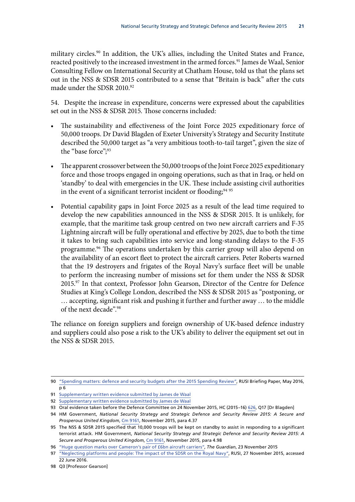military circles.90 In addition, the UK's allies, including the United States and France, reacted positively to the increased investment in the armed forces.<sup>91</sup> James de Waal, Senior Consulting Fellow on International Security at Chatham House, told us that the plans set out in the NSS & SDSR 2015 contributed to a sense that "Britain is back" after the cuts made under the SDSR 2010.92

54. Despite the increase in expenditure, concerns were expressed about the capabilities set out in the NSS & SDSR 2015. Those concerns included:

- The sustainability and effectiveness of the Joint Force 2025 expeditionary force of 50,000 troops. Dr David Blagden of Exeter University's Strategy and Security Institute described the 50,000 target as "a very ambitious tooth-to-tail target", given the size of the "base force";<sup>93</sup>
- The apparent crossover between the 50,000 troops of the Joint Force 2025 expeditionary force and those troops engaged in ongoing operations, such as that in Iraq, or held on 'standby' to deal with emergencies in the UK. These include assisting civil authorities in the event of a significant terrorist incident or flooding;<sup>94 95</sup>
- Potential capability gaps in Joint Force 2025 as a result of the lead time required to develop the new capabilities announced in the NSS & SDSR 2015. It is unlikely, for example, that the maritime task group centred on two new aircraft carriers and F-35 Lightning aircraft will be fully operational and effective by 2025, due to both the time it takes to bring such capabilities into service and long-standing delays to the F-35 programme.96 The operations undertaken by this carrier group will also depend on the availability of an escort fleet to protect the aircraft carriers. Peter Roberts warned that the 19 destroyers and frigates of the Royal Navy's surface fleet will be unable to perform the increasing number of missions set for them under the NSS & SDSR 2015.97 In that context, Professor John Gearson, Director of the Centre for Defence Studies at King's College London, described the NSS & SDSR 2015 as "postponing, or … accepting, significant risk and pushing it further and further away … to the middle of the next decade".98

The reliance on foreign suppliers and foreign ownership of UK-based defence industry and suppliers could also pose a risk to the UK's ability to deliver the equipment set out in the NSS & SDSR 2015.

<sup>90</sup> ["Spending matters: defence and security budgets after the 2015 Spending Review",](https://rusi.org/sites/default/files/chalmers_spending_matters_1.pdf) RUSI Briefing Paper, May 2016, p 6

<sup>91</sup> [Supplementary written evidence submitted by James de Waal](http://www.parliament.uk/documents/joint-committees/national-security-strategy/Written-evidence/2015-20-Parliament/Written-evidence-from-James-de-Waal.pdf)

<sup>92</sup> [Supplementary written evidence submitted by James de Waal](http://www.parliament.uk/documents/joint-committees/national-security-strategy/Written-evidence/2015-20-Parliament/Written-evidence-from-James-de-Waal.pdf)

<sup>93</sup> Oral evidence taken before the Defence Committee on 24 November 2015, HC (2015–16) [626,](http://data.parliament.uk/writtenevidence/committeeevidence.svc/evidencedocument/defence-committee/publication-of-the-strategic-defence-and-security-review/oral/25041.pdf) Q17 [Dr Blagden]

<sup>94</sup> HM Government, *National Security Strategy and Strategic Defence and Security Review 2015: A Secure and Prosperous United Kingdom*, [Cm 9161,](https://www.gov.uk/government/uploads/system/uploads/attachment_data/file/478933/52309_Cm_9161_NSS_SD_Review_web_only.pdf) November 2015, para 4.37

<sup>95</sup> The NSS & SDSR 2015 specified that 10,000 troops will be kept on standby to assist in responding to a significant terrorist attack. HM Government, *National Security Strategy and Strategic Defence and Security Review 2015: A Secure and Prosperous United Kingdom*, [Cm 9161,](https://www.gov.uk/government/uploads/system/uploads/attachment_data/file/478933/52309_Cm_9161_NSS_SD_Review_web_only.pdf) November 2015, para 4.98

<sup>96</sup> ["Huge question marks over Cameron's pair of £6bn aircraft carriers",](http://www.theguardian.com/politics/2015/nov/23/strategic-defence-review-cameron-6bn-aircraft-carriers) *The Guardian*, 23 November 2015

<sup>97</sup> ["Neglecting platforms and people: The impact of the SDSR on the Royal Navy"](https://rusi.org/commentary/neglecting-platforms-and-people-impact-sdsr-royal-navy), RUSI, 27 November 2015, accessed 22 June 2016.

<sup>98</sup> Q3 [Professor Gearson]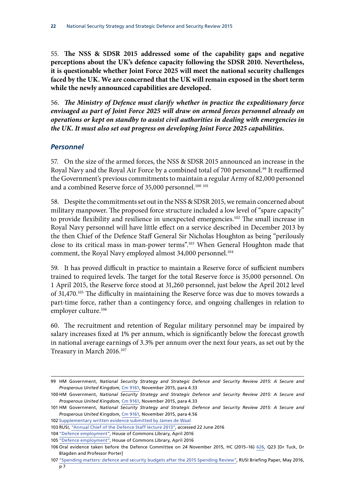<span id="page-27-0"></span>55. **The NSS & SDSR 2015 addressed some of the capability gaps and negative perceptions about the UK's defence capacity following the SDSR 2010. Nevertheless, it is questionable whether Joint Force 2025 will meet the national security challenges faced by the UK. We are concerned that the UK will remain exposed in the short term while the newly announced capabilities are developed.**

56. *The Ministry of Defence must clarify whether in practice the expeditionary force envisaged as part of Joint Force 2025 will draw on armed forces personnel already on operations or kept on standby to assist civil authorities in dealing with emergencies in the UK. It must also set out progress on developing Joint Force 2025 capabilities.*

#### *Personnel*

57. On the size of the armed forces, the NSS & SDSR 2015 announced an increase in the Royal Navy and the Royal Air Force by a combined total of 700 personnel.<sup>99</sup> It reaffirmed the Government's previous commitments to maintain a regular Army of 82,000 personnel and a combined Reserve force of 35,000 personnel.<sup>100 101</sup>

58. Despite the commitments set out in the NSS & SDSR 2015, we remain concerned about military manpower. The proposed force structure included a low level of "spare capacity" to provide flexibility and resilience in unexpected emergencies.<sup>102</sup> The small increase in Royal Navy personnel will have little effect on a service described in December 2013 by the then Chief of the Defence Staff General Sir Nicholas Houghton as being "perilously close to its critical mass in man-power terms".103 When General Houghton made that comment, the Royal Navy employed almost 34,000 personnel.<sup>104</sup>

59. It has proved difficult in practice to maintain a Reserve force of sufficient numbers trained to required levels. The target for the total Reserve force is 35,000 personnel. On 1 April 2015, the Reserve force stood at 31,260 personnel, just below the April 2012 level of 31,470.105 The difficulty in maintaining the Reserve force was due to moves towards a part-time force, rather than a contingency force, and ongoing challenges in relation to employer culture.<sup>106</sup>

60. The recruitment and retention of Regular military personnel may be impaired by salary increases fixed at 1% per annum, which is significantly below the forecast growth in national average earnings of 3.3% per annum over the next four years, as set out by the Treasury in March 2016.107

<sup>99</sup> HM Government, *National Security Strategy and Strategic Defence and Security Review 2015: A Secure and Prosperous United Kingdom*, [Cm 9161,](https://www.gov.uk/government/uploads/system/uploads/attachment_data/file/478933/52309_Cm_9161_NSS_SD_Review_web_only.pdf) November 2015, para 4.33

<sup>100</sup> HM Government, *National Security Strategy and Strategic Defence and Security Review 2015: A Secure and Prosperous United Kingdom*, [Cm 9161,](https://www.gov.uk/government/uploads/system/uploads/attachment_data/file/478933/52309_Cm_9161_NSS_SD_Review_web_only.pdf) November 2015, para 4.33

<sup>101</sup> HM Government, *National Security Strategy and Strategic Defence and Security Review 2015: A Secure and Prosperous United Kingdom*, [Cm 9161,](https://www.gov.uk/government/uploads/system/uploads/attachment_data/file/478933/52309_Cm_9161_NSS_SD_Review_web_only.pdf) November 2015, para 4.56

<sup>102</sup> [Supplementary written evidence submitted by James de Waal](http://www.parliament.uk/documents/joint-committees/national-security-strategy/Written-evidence/2015-20-Parliament/Written-evidence-from-James-de-Waal.pdf)

<sup>103</sup> RUSI, ["Annual Chief of the Defence Staff lecture 2013",](https://rusi.org/event/annual-chief-defence-staff-lecture-2013) accessed 22 June 2016

<sup>104</sup> ["Defence employment"](http://researchbriefings.files.parliament.uk/documents/SN02621/SN02621.pdf), House of Commons Library, April 2016

<sup>105</sup> ["Defence employment"](http://researchbriefings.files.parliament.uk/documents/SN02621/SN02621.pdf), House of Commons Library, April 2016

<sup>106</sup> Oral evidence taken before the Defence Committee on 24 November 2015, HC (2015–16) [626](http://data.parliament.uk/writtenevidence/committeeevidence.svc/evidencedocument/defence-committee/publication-of-the-strategic-defence-and-security-review/oral/25041.pdf), Q23 [Dr Tuck, Dr Blagden and Professor Porter]

<sup>107</sup> ["Spending matters: defence and security budgets after the 2015 Spending Review",](https://rusi.org/sites/default/files/chalmers_spending_matters_1.pdf) RUSI Briefing Paper, May 2016,  $p 7$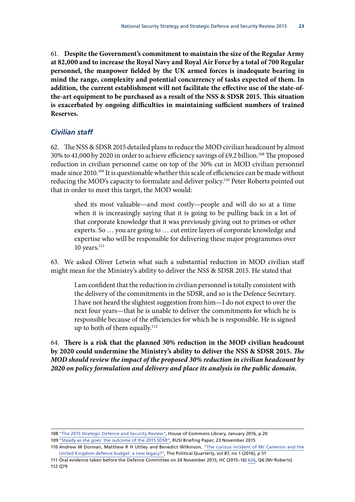<span id="page-28-0"></span>61. **Despite the Government's commitment to maintain the size of the Regular Army at 82,000 and to increase the Royal Navy and Royal Air Force by a total of 700 Regular personnel, the manpower fielded by the UK armed forces is inadequate bearing in mind the range, complexity and potential concurrency of tasks expected of them. In addition, the current establishment will not facilitate the effective use of the state-ofthe-art equipment to be purchased as a result of the NSS & SDSR 2015. This situation is exacerbated by ongoing difficulties in maintaining sufficient numbers of trained Reserves.**

#### *Civilian staff*

62. The NSS & SDSR 2015 detailed plans to reduce the MOD civilian headcount by almost 30% to 41,000 by 2020 in order to achieve efficiency savings of £9.2 billion.<sup>108</sup> The proposed reduction in civilian personnel came on top of the 30% cut in MOD civilian personnel made since 2010.109 It is questionable whether this scale of efficiencies can be made without reducing the MOD's capacity to formulate and deliver policy.110 Peter Roberts pointed out that in order to meet this target, the MOD would:

shed its most valuable—and most costly—people and will do so at a time when it is increasingly saying that it is going to be pulling back in a lot of that corporate knowledge that it was previously giving out to primes or other experts. So … you are going to … cut entire layers of corporate knowledge and expertise who will be responsible for delivering these major programmes over  $10$  years. $^{111}$ 

63. We asked Oliver Letwin what such a substantial reduction in MOD civilian staff might mean for the Ministry's ability to deliver the NSS & SDSR 2015. He stated that

I am confident that the reduction in civilian personnel is totally consistent with the delivery of the commitments in the SDSR, and so is the Defence Secretary. I have not heard the slightest suggestion from him—I do not expect to over the next four years—that he is unable to deliver the commitments for which he is responsible because of the efficiencies for which he is responsible. He is signed up to both of them equally.<sup>112</sup>

64. **There is a risk that the planned 30% reduction in the MOD civilian headcount by 2020 could undermine the Ministry's ability to deliver the NSS & SDSR 2015.** *The MOD should review the impact of the proposed 30% reduction in civilian headcount by 2020 on policy formulation and delivery and place its analysis in the public domain.*

<sup>108</sup> ["The 2015 Strategic Defence and Security Review",](http://researchbriefings.files.parliament.uk/documents/CBP-7462/CBP-7462.pdf) House of Commons Library, January 2016, p 20 109 ["Steady as she goes: the outcome of the 2015 SDSR",](https://rusi.org/node/15252) RUSI Briefing Paper, 23 November 2015

<sup>110</sup> Andrew M Dorman, Matthew R H Uttley and Benedict Wilkinson, ["The curious incident of Mr Cameron and the](http://onlinelibrary.wiley.com/doi/10.1111/1467-923X.12226/epdf) [United Kingdom defence budget: a new legacy?"](http://onlinelibrary.wiley.com/doi/10.1111/1467-923X.12226/epdf), The Political Quarterly, vol 87, no 1 (2016), p 51

<sup>111</sup> Oral evidence taken before the Defence Committee on 24 November 2015, HC (2015–16) [626,](http://data.parliament.uk/writtenevidence/committeeevidence.svc/evidencedocument/defence-committee/publication-of-the-strategic-defence-and-security-review/oral/25041.pdf) Q6 [Mr Roberts] 112 Q79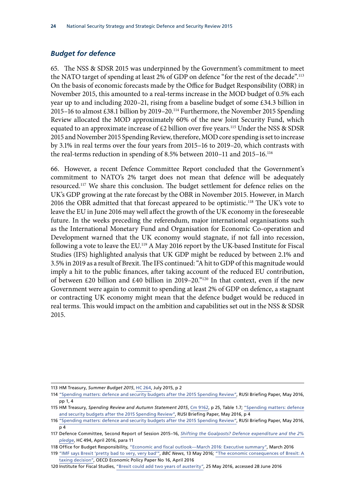#### <span id="page-29-0"></span>*Budget for defence*

65. The NSS & SDSR 2015 was underpinned by the Government's commitment to meet the NATO target of spending at least 2% of GDP on defence "for the rest of the decade".113 On the basis of economic forecasts made by the Office for Budget Responsibility (OBR) in November 2015, this amounted to a real-terms increase in the MOD budget of 0.5% each year up to and including 2020–21, rising from a baseline budget of some £34.3 billion in 2015–16 to almost £38.1 billion by 2019–20.114 Furthermore, the November 2015 Spending Review allocated the MOD approximately 60% of the new Joint Security Fund, which equated to an approximate increase of  $£2$  billion over five years.<sup>115</sup> Under the NSS & SDSR 2015 and November 2015 Spending Review, therefore, MOD core spending is set to increase by 3.1% in real terms over the four years from 2015–16 to 2019–20, which contrasts with the real-terms reduction in spending of 8.5% between 2010–11 and 2015–16.116

66. However, a recent Defence Committee Report concluded that the Government's commitment to NATO's 2% target does not mean that defence will be adequately resourced.117 We share this conclusion. The budget settlement for defence relies on the UK's GDP growing at the rate forecast by the OBR in November 2015. However, in March 2016 the OBR admitted that that forecast appeared to be optimistic.<sup>118</sup> The UK's vote to leave the EU in June 2016 may well affect the growth of the UK economy in the foreseeable future. In the weeks preceding the referendum, major international organisations such as the International Monetary Fund and Organisation for Economic Co-operation and Development warned that the UK economy would stagnate, if not fall into recession, following a vote to leave the EU.<sup>119</sup> A May 2016 report by the UK-based Institute for Fiscal Studies (IFS) highlighted analysis that UK GDP might be reduced by between 2.1% and 3.5% in 2019 as a result of Brexit. The IFS continued: "A hit to GDP of this magnitude would imply a hit to the public finances, after taking account of the reduced EU contribution, of between £20 billion and £40 billion in 2019–20."120 In that context, even if the new Government were again to commit to spending at least 2% of GDP on defence, a stagnant or contracting UK economy might mean that the defence budget would be reduced in real terms. This would impact on the ambition and capabilities set out in the NSS & SDSR 2015.

<sup>113</sup> HM Treasury, *Summer Budget 2015*, [HC 264](https://www.gov.uk/government/uploads/system/uploads/attachment_data/file/443232/50325_Summer_Budget_15_Web_Accessible.pdf), July 2015, p 2

<sup>114</sup> ["Spending matters: defence and security budgets after the 2015 Spending Review",](https://rusi.org/sites/default/files/chalmers_spending_matters_1.pdf) RUSI Briefing Paper, May 2016, pp 1, 4

<sup>115</sup> HM Treasury, *Spending Review and Autumn Statement 2015*, [Cm 9162,](https://www.gov.uk/government/uploads/system/uploads/attachment_data/file/479749/52229_Blue_Book_PU1865_Web_Accessible.pdf) p 25, Table 1.7; ["Spending matters: defence](https://rusi.org/sites/default/files/chalmers_spending_matters_1.pdf) [and security budgets after the 2015 Spending Review"](https://rusi.org/sites/default/files/chalmers_spending_matters_1.pdf), RUSI Briefing Paper, May 2016,  $\overline{p}4$ 

<sup>116</sup> ["Spending matters: defence and security budgets after the 2015 Spending Review",](https://rusi.org/sites/default/files/chalmers_spending_matters_1.pdf) RUSI Briefing Paper, May 2016, p 4

<sup>117</sup> Defence Committee, Second Report of Session 2015–16, *[Shifting the Goalposts? Defence expenditure and the 2%](http://www.publications.parliament.uk/pa/cm201516/cmselect/cmdfence/494/494.pdf) [pledge](http://www.publications.parliament.uk/pa/cm201516/cmselect/cmdfence/494/494.pdf)*, HC 494, April 2016, para 11

<sup>118</sup> Office for Budget Responsibility, ["Economic and fiscal outlook—March 2016: Executive summary"](http://cdn.budgetresponsibility.org.uk/Overview.pdf), March 2016

<sup>119</sup> ["IMF says Brexit 'pretty bad to very, very bad'",](http://www.bbc.co.uk/news/business-36284200) *BBC News*, 13 May 2016; ["The economic consequences of Brexit: A](http://www.oecd-ilibrary.org/docserver/download/5jm0lsvdkf6k.pdf?expires=1467116160&id=id&accname=guest&checksum=9A9F2A672118B5B180F64A7E93BB1B97) [taxing decision",](http://www.oecd-ilibrary.org/docserver/download/5jm0lsvdkf6k.pdf?expires=1467116160&id=id&accname=guest&checksum=9A9F2A672118B5B180F64A7E93BB1B97) OECD Economic Policy Paper No 16, April 2016

<sup>120</sup> Institute for Fiscal Studies, ["Brexit could add two years of austerity"](http://www.ifs.org.uk/publications/8297), 25 May 2016, accessed 28 June 2016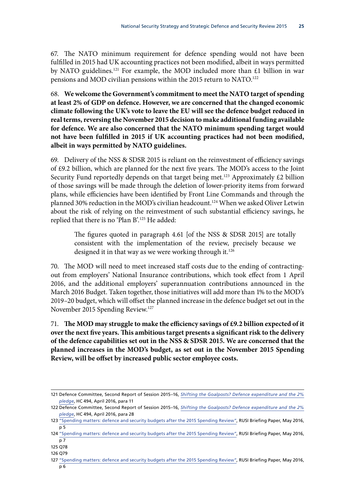67. The NATO minimum requirement for defence spending would not have been fulfilled in 2015 had UK accounting practices not been modified, albeit in ways permitted by NATO guidelines.<sup>121</sup> For example, the MOD included more than  $£1$  billion in war pensions and MOD civilian pensions within the 2015 return to NATO.<sup>122</sup>

68. **We welcome the Government's commitment to meet the NATO target of spending at least 2% of GDP on defence. However, we are concerned that the changed economic climate following the UK's vote to leave the EU will see the defence budget reduced in real terms, reversing the November 2015 decision to make additional funding available for defence. We are also concerned that the NATO minimum spending target would not have been fulfilled in 2015 if UK accounting practices had not been modified, albeit in ways permitted by NATO guidelines.**

69. Delivery of the NSS & SDSR 2015 is reliant on the reinvestment of efficiency savings of £9.2 billion, which are planned for the next five years. The MOD's access to the Joint Security Fund reportedly depends on that target being met.<sup>123</sup> Approximately  $\text{\pounds}2$  billion of those savings will be made through the deletion of lower-priority items from forward plans, while efficiencies have been identified by Front Line Commands and through the planned 30% reduction in the MOD's civilian headcount.<sup>124</sup> When we asked Oliver Letwin about the risk of relying on the reinvestment of such substantial efficiency savings, he replied that there is no 'Plan B'.125 He added:

The figures quoted in paragraph 4.61 [of the NSS & SDSR 2015] are totally consistent with the implementation of the review, precisely because we designed it in that way as we were working through it.<sup>126</sup>

70. The MOD will need to meet increased staff costs due to the ending of contractingout from employers' National Insurance contributions, which took effect from 1 April 2016, and the additional employers' superannuation contributions announced in the March 2016 Budget. Taken together, those initiatives will add more than 1% to the MOD's 2019–20 budget, which will offset the planned increase in the defence budget set out in the November 2015 Spending Review.127

71. **The MOD may struggle to make the efficiency savings of £9.2 billion expected of it over the next five years. This ambitious target presents a significant risk to the delivery of the defence capabilities set out in the NSS & SDSR 2015. We are concerned that the planned increases in the MOD's budget, as set out in the November 2015 Spending Review, will be offset by increased public sector employee costs.**

<sup>121</sup> Defence Committee, Second Report of Session 2015–16, *[Shifting the Goalposts? Defence expenditure and the 2%](http://www.publications.parliament.uk/pa/cm201516/cmselect/cmdfence/494/494.pdf) [pledge](http://www.publications.parliament.uk/pa/cm201516/cmselect/cmdfence/494/494.pdf)*, HC 494, April 2016, para 11

<sup>122</sup> Defence Committee, Second Report of Session 2015–16, *[Shifting the Goalposts? Defence expenditure and the 2%](http://www.publications.parliament.uk/pa/cm201516/cmselect/cmdfence/494/494.pdf) [pledge](http://www.publications.parliament.uk/pa/cm201516/cmselect/cmdfence/494/494.pdf)*, HC 494, April 2016, para 28

<sup>123</sup> ["Spending matters: defence and security budgets after the 2015 Spending Review",](https://rusi.org/sites/default/files/chalmers_spending_matters_1.pdf) RUSI Briefing Paper, May 2016, p 5

<sup>124</sup> ["Spending matters: defence and security budgets after the 2015 Spending Review",](https://rusi.org/sites/default/files/chalmers_spending_matters_1.pdf) RUSI Briefing Paper, May 2016, p 7

<sup>125</sup> Q78

<sup>126</sup> Q79

<sup>127</sup> ["Spending matters: defence and security budgets after the 2015 Spending Review",](https://rusi.org/sites/default/files/chalmers_spending_matters_1.pdf) RUSI Briefing Paper, May 2016, p 6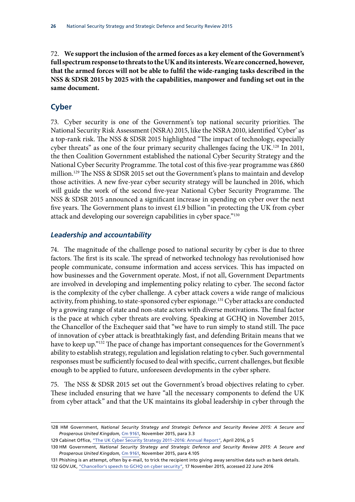<span id="page-31-0"></span>72. **We support the inclusion of the armed forces as a key element of the Government's full spectrum response to threats to the UK and its interests. We are concerned, however, that the armed forces will not be able to fulfil the wide-ranging tasks described in the NSS & SDSR 2015 by 2025 with the capabilities, manpower and funding set out in the same document.**

#### **Cyber**

73. Cyber security is one of the Government's top national security priorities. The National Security Risk Assessment (NSRA) 2015, like the NSRA 2010, identified 'Cyber' as a top-rank risk. The NSS & SDSR 2015 highlighted "The impact of technology, especially cyber threats" as one of the four primary security challenges facing the UK.<sup>128</sup> In 2011, the then Coalition Government established the national Cyber Security Strategy and the National Cyber Security Programme. The total cost of this five-year programme was £860 million.129 The NSS & SDSR 2015 set out the Government's plans to maintain and develop those activities. A new five-year cyber security strategy will be launched in 2016, which will guide the work of the second five-year National Cyber Security Programme. The NSS & SDSR 2015 announced a significant increase in spending on cyber over the next five years. The Government plans to invest £1.9 billion "in protecting the UK from cyber attack and developing our sovereign capabilities in cyber space."130

#### *Leadership and accountability*

74. The magnitude of the challenge posed to national security by cyber is due to three factors. The first is its scale. The spread of networked technology has revolutionised how people communicate, consume information and access services. This has impacted on how businesses and the Government operate. Most, if not all, Government Departments are involved in developing and implementing policy relating to cyber. The second factor is the complexity of the cyber challenge. A cyber attack covers a wide range of malicious activity, from phishing, to state-sponsored cyber espionage.<sup>131</sup> Cyber attacks are conducted by a growing range of state and non-state actors with diverse motivations. The final factor is the pace at which cyber threats are evolving. Speaking at GCHQ in November 2015, the Chancellor of the Exchequer said that "we have to run simply to stand still. The pace of innovation of cyber attack is breathtakingly fast, and defending Britain means that we have to keep up."132 The pace of change has important consequences for the Government's ability to establish strategy, regulation and legislation relating to cyber. Such governmental responses must be sufficiently focused to deal with specific, current challenges, but flexible enough to be applied to future, unforeseen developments in the cyber sphere.

75. The NSS & SDSR 2015 set out the Government's broad objectives relating to cyber. These included ensuring that we have "all the necessary components to defend the UK from cyber attack" and that the UK maintains its global leadership in cyber through the

129 Cabinet Office, ["The UK Cyber Security Strategy 2011–2016: Annual Report"](https://www.gov.uk/government/uploads/system/uploads/attachment_data/file/516331/UK_Cyber_Security_Strategy_Annual_Report_2016.pdf), April 2016, p 5

<sup>128</sup> HM Government, *National Security Strategy and Strategic Defence and Security Review 2015: A Secure and Prosperous United Kingdom*, [Cm 9161,](https://www.gov.uk/government/uploads/system/uploads/attachment_data/file/478933/52309_Cm_9161_NSS_SD_Review_web_only.pdf) November 2015, para 3.3

<sup>130</sup> HM Government, *National Security Strategy and Strategic Defence and Security Review 2015: A Secure and Prosperous United Kingdom*, [Cm 9161,](https://www.gov.uk/government/uploads/system/uploads/attachment_data/file/478933/52309_Cm_9161_NSS_SD_Review_web_only.pdf) November 2015, para 4.105

<sup>131</sup> Phishing is an attempt, often by e-mail, to trick the recipient into giving away sensitive data such as bank details. 132 GOV.UK, ["Chancellor's speech to GCHQ on cyber security",](https://www.gov.uk/government/speeches/chancellors-speech-to-gchq-on-cyber-security) 17 November 2015, accessed 22 June 2016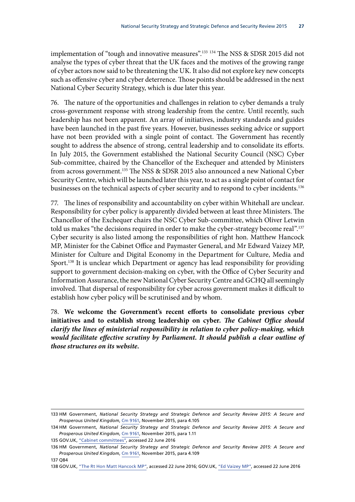implementation of "tough and innovative measures".<sup>133</sup> <sup>134</sup> The NSS & SDSR 2015 did not analyse the types of cyber threat that the UK faces and the motives of the growing range of cyber actors now said to be threatening the UK. It also did not explore key new concepts such as offensive cyber and cyber deterrence. Those points should be addressed in the next National Cyber Security Strategy, which is due later this year.

76. The nature of the opportunities and challenges in relation to cyber demands a truly cross-government response with strong leadership from the centre. Until recently, such leadership has not been apparent. An array of initiatives, industry standards and guides have been launched in the past five years. However, businesses seeking advice or support have not been provided with a single point of contact. The Government has recently sought to address the absence of strong, central leadership and to consolidate its efforts. In July 2015, the Government established the National Security Council (NSC) Cyber Sub-committee, chaired by the Chancellor of the Exchequer and attended by Ministers from across government.<sup>135</sup> The NSS & SDSR 2015 also announced a new National Cyber Security Centre, which will be launched later this year, to act as a single point of contact for businesses on the technical aspects of cyber security and to respond to cyber incidents.<sup>136</sup>

77. The lines of responsibility and accountability on cyber within Whitehall are unclear. Responsibility for cyber policy is apparently divided between at least three Ministers. The Chancellor of the Exchequer chairs the NSC Cyber Sub-committee, which Oliver Letwin told us makes "the decisions required in order to make the cyber-strategy become real".137 Cyber security is also listed among the responsibilities of right hon. Matthew Hancock MP, Minister for the Cabinet Office and Paymaster General, and Mr Edward Vaizey MP, Minister for Culture and Digital Economy in the Department for Culture, Media and Sport.<sup>138</sup> It is unclear which Department or agency has lead responsibility for providing support to government decision-making on cyber, with the Office of Cyber Security and Information Assurance, the new National Cyber Security Centre and GCHQ all seemingly involved. That dispersal of responsibility for cyber across government makes it difficult to establish how cyber policy will be scrutinised and by whom.

78. **We welcome the Government's recent efforts to consolidate previous cyber initiatives and to establish strong leadership on cyber.** *The Cabinet Office should clarify the lines of ministerial responsibility in relation to cyber policy-making, which*  would facilitate effective scrutiny by Parliament. It should publish a clear outline of *those structures on its website.*

137 Q84

<sup>133</sup> HM Government, *National Security Strategy and Strategic Defence and Security Review 2015: A Secure and Prosperous United Kingdom*, [Cm 9161,](https://www.gov.uk/government/uploads/system/uploads/attachment_data/file/478933/52309_Cm_9161_NSS_SD_Review_web_only.pdf) November 2015, para 4.105

<sup>134</sup> HM Government, *National Security Strategy and Strategic Defence and Security Review 2015: A Secure and Prosperous United Kingdom*, [Cm 9161,](https://www.gov.uk/government/uploads/system/uploads/attachment_data/file/478933/52309_Cm_9161_NSS_SD_Review_web_only.pdf) November 2015, para 1.11

<sup>135</sup> GOV.UK, ["Cabinet committees",](https://www.gov.uk/government/uploads/system/uploads/attachment_data/file/515673/2016-04-11_Cabinet_Committees_final_arp.pdf) accessed 22 June 2016

<sup>136</sup> HM Government, *National Security Strategy and Strategic Defence and Security Review 2015: A Secure and Prosperous United Kingdom*, [Cm 9161,](https://www.gov.uk/government/uploads/system/uploads/attachment_data/file/478933/52309_Cm_9161_NSS_SD_Review_web_only.pdf) November 2015, para 4.109

<sup>138</sup> GOV.UK, ["The Rt Hon Matt Hancock MP",](https://www.gov.uk/government/people/matthew-hancock) accessed 22 June 2016; GOV.UK, ["Ed Vaizey MP"](https://www.gov.uk/government/people/ed-vaizey), accessed 22 June 2016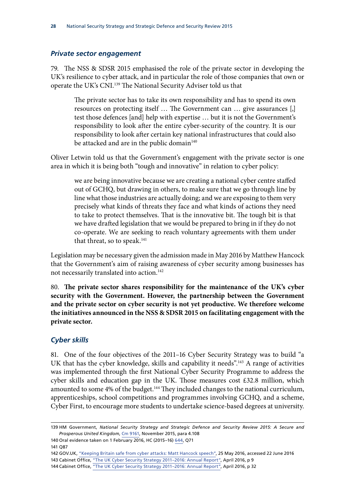#### <span id="page-33-0"></span>*Private sector engagement*

79. The NSS & SDSR 2015 emphasised the role of the private sector in developing the UK's resilience to cyber attack, and in particular the role of those companies that own or operate the UK's CNI.139 The National Security Adviser told us that

The private sector has to take its own responsibility and has to spend its own resources on protecting itself … The Government can … give assurances [,] test those defences [and] help with expertise … but it is not the Government's responsibility to look after the entire cyber-security of the country. It is our responsibility to look after certain key national infrastructures that could also be attacked and are in the public domain<sup>140</sup>

Oliver Letwin told us that the Government's engagement with the private sector is one area in which it is being both "tough and innovative" in relation to cyber policy:

we are being innovative because we are creating a national cyber centre staffed out of GCHQ, but drawing in others, to make sure that we go through line by line what those industries are actually doing; and we are exposing to them very precisely what kinds of threats they face and what kinds of actions they need to take to protect themselves. That is the innovative bit. The tough bit is that we have drafted legislation that we would be prepared to bring in if they do not co-operate. We are seeking to reach voluntary agreements with them under that threat, so to speak.<sup>141</sup>

Legislation may be necessary given the admission made in May 2016 by Matthew Hancock that the Government's aim of raising awareness of cyber security among businesses has not necessarily translated into action.<sup>142</sup>

80. **The private sector shares responsibility for the maintenance of the UK's cyber security with the Government. However, the partnership between the Government and the private sector on cyber security is not yet productive. We therefore welcome the initiatives announced in the NSS & SDSR 2015 on facilitating engagement with the private sector.**

#### *Cyber skills*

81. One of the four objectives of the 2011–16 Cyber Security Strategy was to build "a UK that has the cyber knowledge, skills and capability it needs".<sup>143</sup> A range of activities was implemented through the first National Cyber Security Programme to address the cyber skills and education gap in the UK. Those measures cost £32.8 million, which amounted to some 4% of the budget.<sup>144</sup> They included changes to the national curriculum, apprenticeships, school competitions and programmes involving GCHQ, and a scheme, Cyber First, to encourage more students to undertake science-based degrees at university.

141 Q87

<sup>139</sup> HM Government, *National Security Strategy and Strategic Defence and Security Review 2015: A Secure and Prosperous United Kingdom*, [Cm 9161,](https://www.gov.uk/government/uploads/system/uploads/attachment_data/file/478933/52309_Cm_9161_NSS_SD_Review_web_only.pdf) November 2015, para 4.108

<sup>140</sup> Oral evidence taken on 1 February 2016, HC (2015–16) [644,](http://data.parliament.uk/writtenevidence/committeeevidence.svc/evidencedocument/national-security-strategy-committee/work-of-the-national-security-adviser/oral/28227.pdf) Q71

<sup>142</sup> GOV.UK, ["Keeping Britain safe from cyber attacks: Matt Hancock speech",](https://www.gov.uk/government/speeches/keeping-britain-safe-from-cyber-attacks-matt-hancock-speech) 25 May 2016, accessed 22 June 2016

<sup>143</sup> Cabinet Office, ["The UK Cyber Security Strategy 2011–2016: Annual Report"](https://www.gov.uk/government/uploads/system/uploads/attachment_data/file/516331/UK_Cyber_Security_Strategy_Annual_Report_2016.pdf), April 2016, p 9

<sup>144</sup> Cabinet Office, "The UK Cyber Security Strategy 2011-2016: Annual Report", April 2016, p 32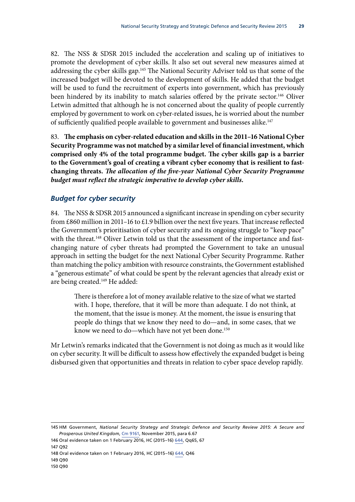<span id="page-34-0"></span>82. The NSS & SDSR 2015 included the acceleration and scaling up of initiatives to promote the development of cyber skills. It also set out several new measures aimed at addressing the cyber skills gap.<sup>145</sup> The National Security Adviser told us that some of the increased budget will be devoted to the development of skills. He added that the budget will be used to fund the recruitment of experts into government, which has previously been hindered by its inability to match salaries offered by the private sector.<sup>146</sup> Oliver Letwin admitted that although he is not concerned about the quality of people currently employed by government to work on cyber-related issues, he is worried about the number of sufficiently qualified people available to government and businesses alike.<sup>147</sup>

83. **The emphasis on cyber-related education and skills in the 2011–16 National Cyber Security Programme was not matched by a similar level of financial investment, which comprised only 4% of the total programme budget. The cyber skills gap is a barrier to the Government's goal of creating a vibrant cyber economy that is resilient to fastchanging threats.** *The allocation of the five-year National Cyber Security Programme budget must reflect the strategic imperative to develop cyber skills.*

#### *Budget for cyber security*

84. The NSS & SDSR 2015 announced a significant increase in spending on cyber security from £860 million in 2011–16 to £1.9 billion over the next five years. That increase reflected the Government's prioritisation of cyber security and its ongoing struggle to "keep pace" with the threat.<sup>148</sup> Oliver Letwin told us that the assessment of the importance and fastchanging nature of cyber threats had prompted the Government to take an unusual approach in setting the budget for the next National Cyber Security Programme. Rather than matching the policy ambition with resource constraints, the Government established a "generous estimate" of what could be spent by the relevant agencies that already exist or are being created.<sup>149</sup> He added:

There is therefore a lot of money available relative to the size of what we started with. I hope, therefore, that it will be more than adequate. I do not think, at the moment, that the issue is money. At the moment, the issue is ensuring that people do things that we know they need to do—and, in some cases, that we know we need to do—which have not yet been done.<sup>150</sup>

Mr Letwin's remarks indicated that the Government is not doing as much as it would like on cyber security. It will be difficult to assess how effectively the expanded budget is being disbursed given that opportunities and threats in relation to cyber space develop rapidly.

<sup>145</sup> HM Government, *National Security Strategy and Strategic Defence and Security Review 2015: A Secure and Prosperous United Kingdom*, [Cm 9161,](https://www.gov.uk/government/uploads/system/uploads/attachment_data/file/478933/52309_Cm_9161_NSS_SD_Review_web_only.pdf) November 2015, para 6.67

<sup>146</sup> Oral evidence taken on 1 February 2016, HC (2015–16) [644,](http://data.parliament.uk/writtenevidence/committeeevidence.svc/evidencedocument/national-security-strategy-committee/work-of-the-national-security-adviser/oral/28227.pdf) Qq65, 67

<sup>147</sup> Q92

<sup>148</sup> Oral evidence taken on 1 February 2016, HC (2015–16) [644](http://data.parliament.uk/writtenevidence/committeeevidence.svc/evidencedocument/national-security-strategy-committee/work-of-the-national-security-adviser/oral/28227.pdf), Q46

<sup>149</sup> Q90

<sup>150</sup> Q90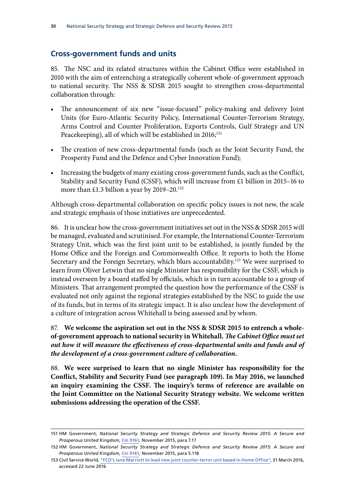#### <span id="page-35-0"></span>**Cross-government funds and units**

85. The NSC and its related structures within the Cabinet Office were established in 2010 with the aim of entrenching a strategically coherent whole-of-government approach to national security. The NSS & SDSR 2015 sought to strengthen cross-departmental collaboration through:

- The announcement of six new "issue-focused" policy-making and delivery Joint Units (for Euro-Atlantic Security Policy, International Counter-Terrorism Strategy, Arms Control and Counter Proliferation, Exports Controls, Gulf Strategy and UN Peacekeeping), all of which will be established in 2016;<sup>151</sup>
- The creation of new cross-departmental funds (such as the Joint Security Fund, the Prosperity Fund and the Defence and Cyber Innovation Fund);
- Increasing the budgets of many existing cross-government funds, such as the Conflict, Stability and Security Fund (CSSF), which will increase from £1 billion in 2015–16 to more than £1.3 billion a year by 2019–20.<sup>152</sup>

Although cross-departmental collaboration on specific policy issues is not new, the scale and strategic emphasis of those initiatives are unprecedented.

86. It is unclear how the cross-government initiatives set out in the NSS & SDSR 2015 will be managed, evaluated and scrutinised. For example, the International Counter-Terrorism Strategy Unit, which was the first joint unit to be established, is jointly funded by the Home Office and the Foreign and Commonwealth Office. It reports to both the Home Secretary and the Foreign Secretary, which blurs accountability.<sup>153</sup> We were surprised to learn from Oliver Letwin that no single Minister has responsibility for the CSSF, which is instead overseen by a board staffed by officials, which is in turn accountable to a group of Ministers. That arrangement prompted the question how the performance of the CSSF is evaluated not only against the regional strategies established by the NSC to guide the use of its funds, but in terms of its strategic impact. It is also unclear how the development of a culture of integration across Whitehall is being assessed and by whom.

87. **We welcome the aspiration set out in the NSS & SDSR 2015 to entrench a wholeof-government approach to national security in Whitehall.** *The Cabinet Office must set out how it will measure the effectiveness of cross-departmental units and funds and of the development of a cross-government culture of collaboration.*

88. **We were surprised to learn that no single Minister has responsibility for the Conflict, Stability and Security Fund (see paragraph 109). In May 2016, we launched an inquiry examining the CSSF. The inquiry's terms of reference are available on the Joint Committee on the National Security Strategy website. We welcome written submissions addressing the operation of the CSSF.**

<sup>151</sup> HM Government, *National Security Strategy and Strategic Defence and Security Review 2015: A Secure and Prosperous United Kingdom*, [Cm 9161,](https://www.gov.uk/government/uploads/system/uploads/attachment_data/file/478933/52309_Cm_9161_NSS_SD_Review_web_only.pdf) November 2015, para 7.17

<sup>152</sup> HM Government, *National Security Strategy and Strategic Defence and Security Review 2015: A Secure and Prosperous United Kingdom*, [Cm 9161,](https://www.gov.uk/government/uploads/system/uploads/attachment_data/file/478933/52309_Cm_9161_NSS_SD_Review_web_only.pdf) November 2015, para 5.118

<sup>153</sup> Civil Service World, ["FCO's Jane Marriott to lead new joint counter-terror unit based in Home Office",](https://www.civilserviceworld.com/articles/news/fcos-jane-marriott-lead-new-joint-counter-terror-unit-based-home-office) 31 March 2016, accessed 22 June 2016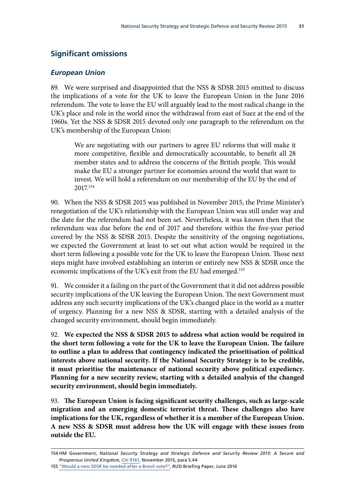#### <span id="page-36-0"></span>**Significant omissions**

#### *European Union*

89. We were surprised and disappointed that the NSS & SDSR 2015 omitted to discuss the implications of a vote for the UK to leave the European Union in the June 2016 referendum. The vote to leave the EU will arguably lead to the most radical change in the UK's place and role in the world since the withdrawal from east of Suez at the end of the 1960s. Yet the NSS & SDSR 2015 devoted only one paragraph to the referendum on the UK's membership of the European Union:

We are negotiating with our partners to agree EU reforms that will make it more competitive, flexible and democratically accountable, to benefit all 28 member states and to address the concerns of the British people. This would make the EU a stronger partner for economies around the world that want to invest. We will hold a referendum on our membership of the EU by the end of 2017.154

90. When the NSS & SDSR 2015 was published in November 2015, the Prime Minister's renegotiation of the UK's relationship with the European Union was still under way and the date for the referendum had not been set. Nevertheless, it was known then that the referendum was due before the end of 2017 and therefore within the five-year period covered by the NSS & SDSR 2015. Despite the sensitivity of the ongoing negotiations, we expected the Government at least to set out what action would be required in the short term following a possible vote for the UK to leave the European Union. Those next steps might have involved establishing an interim or entirely new NSS & SDSR once the economic implications of the UK's exit from the EU had emerged.155

91. We consider it a failing on the part of the Government that it did not address possible security implications of the UK leaving the European Union. The next Government must address any such security implications of the UK's changed place in the world as a matter of urgency. Planning for a new NSS & SDSR, starting with a detailed analysis of the changed security environment, should begin immediately.

92. **We expected the NSS & SDSR 2015 to address what action would be required in the short term following a vote for the UK to leave the European Union. The failure to outline a plan to address that contingency indicated the prioritisation of political interests above national security. If the National Security Strategy is to be credible, it must prioritise the maintenance of national security above political expediency. Planning for a new security review, starting with a detailed analysis of the changed security environment, should begin immediately.**

93. **The European Union is facing significant security challenges, such as large-scale migration and an emerging domestic terrorist threat. These challenges also have implications for the UK, regardless of whether it is a member of the European Union. A new NSS & SDSR must address how the UK will engage with these issues from outside the EU.**

<sup>154</sup> HM Government, *National Security Strategy and Strategic Defence and Security Review 2015: A Secure and Prosperous United Kingdom*, [Cm 9161,](https://www.gov.uk/government/uploads/system/uploads/attachment_data/file/478933/52309_Cm_9161_NSS_SD_Review_web_only.pdf) November 2015, para 5.44

<sup>155</sup> ["Would a new SDSR be needed after a Brexit vote?",](https://rusi.org/sites/default/files/chalmers_brexit_sdsr.final_.pdf) RUSI Briefing Paper, June 2016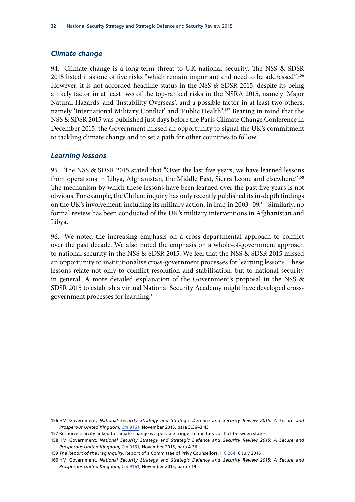#### <span id="page-37-0"></span>*Climate change*

94. Climate change is a long-term threat to UK national security. The NSS & SDSR 2015 listed it as one of five risks "which remain important and need to be addressed".156 However, it is not accorded headline status in the NSS & SDSR 2015, despite its being a likely factor in at least two of the top-ranked risks in the NSRA 2015, namely 'Major Natural Hazards' and 'Instability Overseas', and a possible factor in at least two others, namely 'International Military Conflict' and 'Public Health'.157 Bearing in mind that the NSS & SDSR 2015 was published just days before the Paris Climate Change Conference in December 2015, the Government missed an opportunity to signal the UK's commitment to tackling climate change and to set a path for other countries to follow.

#### *Learning lessons*

95. The NSS & SDSR 2015 stated that "Over the last five years, we have learned lessons from operations in Libya, Afghanistan, the Middle East, Sierra Leone and elsewhere."158 The mechanism by which these lessons have been learned over the past five years is not obvious. For example, the Chilcot inquiry has only recently published its in-depth findings on the UK's involvement, including its military action, in Iraq in 2003–09.159 Similarly, no formal review has been conducted of the UK's military interventions in Afghanistan and Libya.

96. We noted the increasing emphasis on a cross-departmental approach to conflict over the past decade. We also noted the emphasis on a whole-of-government approach to national security in the NSS & SDSR 2015. We feel that the NSS & SDSR 2015 missed an opportunity to institutionalise cross-government processes for learning lessons. These lessons relate not only to conflict resolution and stabilisation, but to national security in general. A more detailed explanation of the Government's proposal in the NSS & SDSR 2015 to establish a virtual National Security Academy might have developed crossgovernment processes for learning.160

<sup>156</sup> HM Government, *National Security Strategy and Strategic Defence and Security Review 2015: A Secure and Prosperous United Kingdom*, [Cm 9161,](https://www.gov.uk/government/uploads/system/uploads/attachment_data/file/478933/52309_Cm_9161_NSS_SD_Review_web_only.pdf) November 2015, para 3.36–3.43

<sup>157</sup> Resource scarcity linked to climate change is a possible trigger of military conflict between states.

<sup>158</sup> HM Government, *National Security Strategy and Strategic Defence and Security Review 2015: A Secure and Prosperous United Kingdom*, [Cm 9161,](https://www.gov.uk/government/uploads/system/uploads/attachment_data/file/478933/52309_Cm_9161_NSS_SD_Review_web_only.pdf) November 2015, para 4.36

<sup>159</sup> *The Report of the Iraq Inquiry*, Report of a Committee of Privy Counsellors, [HC 264,](http://www.iraqinquiry.org.uk/the-report/) 6 July 2016

<sup>160</sup> HM Government, *National Security Strategy and Strategic Defence and Security Review 2015: A Secure and Prosperous United Kingdom*, [Cm 9161,](https://www.gov.uk/government/uploads/system/uploads/attachment_data/file/478933/52309_Cm_9161_NSS_SD_Review_web_only.pdf) November 2015, para 7.19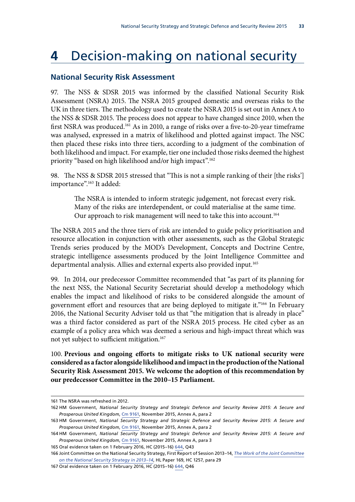# <span id="page-38-0"></span>**4** Decision-making on national security

#### **National Security Risk Assessment**

97. The NSS & SDSR 2015 was informed by the classified National Security Risk Assessment (NSRA) 2015. The NSRA 2015 grouped domestic and overseas risks to the UK in three tiers. The methodology used to create the NSRA 2015 is set out in Annex A to the NSS & SDSR 2015. The process does not appear to have changed since 2010, when the first NSRA was produced.<sup>161</sup> As in 2010, a range of risks over a five-to-20-year timeframe was analysed, expressed in a matrix of likelihood and plotted against impact. The NSC then placed these risks into three tiers, according to a judgment of the combination of both likelihood and impact. For example, tier one included those risks deemed the highest priority "based on high likelihood and/or high impact".162

98. The NSS & SDSR 2015 stressed that "This is not a simple ranking of their [the risks'] importance".<sup>163</sup> It added:

The NSRA is intended to inform strategic judgement, not forecast every risk. Many of the risks are interdependent, or could materialise at the same time. Our approach to risk management will need to take this into account.<sup>164</sup>

The NSRA 2015 and the three tiers of risk are intended to guide policy prioritisation and resource allocation in conjunction with other assessments, such as the Global Strategic Trends series produced by the MOD's Development, Concepts and Doctrine Centre, strategic intelligence assessments produced by the Joint Intelligence Committee and departmental analysis. Allies and external experts also provided input.165

99. In 2014, our predecessor Committee recommended that "as part of its planning for the next NSS, the National Security Secretariat should develop a methodology which enables the impact and likelihood of risks to be considered alongside the amount of government effort and resources that are being deployed to mitigate it."166 In February 2016, the National Security Adviser told us that "the mitigation that is already in place" was a third factor considered as part of the NSRA 2015 process. He cited cyber as an example of a policy area which was deemed a serious and high-impact threat which was not yet subject to sufficient mitigation.<sup>167</sup>

100. **Previous and ongoing efforts to mitigate risks to UK national security were considered as a factor alongside likelihood and impact in the production of the National Security Risk Assessment 2015. We welcome the adoption of this recommendation by our predecessor Committee in the 2010–15 Parliament.**

<sup>161</sup> The NSRA was refreshed in 2012.

<sup>162</sup> HM Government, *National Security Strategy and Strategic Defence and Security Review 2015: A Secure and Prosperous United Kingdom*, [Cm 9161,](https://www.gov.uk/government/uploads/system/uploads/attachment_data/file/478933/52309_Cm_9161_NSS_SD_Review_web_only.pdf) November 2015, Annex A, para 2

<sup>163</sup> HM Government, *National Security Strategy and Strategic Defence and Security Review 2015: A Secure and Prosperous United Kingdom*, [Cm 9161,](https://www.gov.uk/government/uploads/system/uploads/attachment_data/file/478933/52309_Cm_9161_NSS_SD_Review_web_only.pdf) November 2015, Annex A, para 2

<sup>164</sup> HM Government, *National Security Strategy and Strategic Defence and Security Review 2015: A Secure and Prosperous United Kingdom*, [Cm 9161,](https://www.gov.uk/government/uploads/system/uploads/attachment_data/file/478933/52309_Cm_9161_NSS_SD_Review_web_only.pdf) November 2015, Annex A, para 3

<sup>165</sup> Oral evidence taken on 1 February 2016, HC (2015–16) [644,](http://data.parliament.uk/writtenevidence/committeeevidence.svc/evidencedocument/national-security-strategy-committee/work-of-the-national-security-adviser/oral/28227.pdf) Q43

<sup>166</sup> Joint Committee on the National Security Strategy, First Report of Session 2013–14, *[The Work of the Joint Committee](http://www.publications.parliament.uk/pa/jt201314/jtselect/jtnatsec/169/169.pdf) [on the National Security Strategy in 2013–14](http://www.publications.parliament.uk/pa/jt201314/jtselect/jtnatsec/169/169.pdf)*, HL Paper 169, HC 1257, para 29

<sup>167</sup> Oral evidence taken on 1 February 2016, HC (2015–16) [644,](http://data.parliament.uk/writtenevidence/committeeevidence.svc/evidencedocument/national-security-strategy-committee/work-of-the-national-security-adviser/oral/28227.pdf) Q46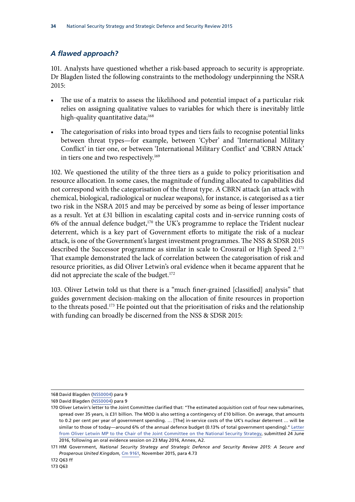#### <span id="page-39-0"></span>*A flawed approach?*

101. Analysts have questioned whether a risk-based approach to security is appropriate. Dr Blagden listed the following constraints to the methodology underpinning the NSRA 2015:

- The use of a matrix to assess the likelihood and potential impact of a particular risk relies on assigning qualitative values to variables for which there is inevitably little high-quality quantitative data;<sup>168</sup>
- The categorisation of risks into broad types and tiers fails to recognise potential links between threat types—for example, between 'Cyber' and 'International Military Conflict' in tier one, or between 'International Military Conflict' and 'CBRN Attack' in tiers one and two respectively.<sup>169</sup>

102. We questioned the utility of the three tiers as a guide to policy prioritisation and resource allocation. In some cases, the magnitude of funding allocated to capabilities did not correspond with the categorisation of the threat type. A CBRN attack (an attack with chemical, biological, radiological or nuclear weapons), for instance, is categorised as a tier two risk in the NSRA 2015 and may be perceived by some as being of lesser importance as a result. Yet at £31 billion in escalating capital costs and in-service running costs of 6% of the annual defence budget, $170$  the UK's programme to replace the Trident nuclear deterrent, which is a key part of Government efforts to mitigate the risk of a nuclear attack, is one of the Government's largest investment programmes. The NSS & SDSR 2015 described the Successor programme as similar in scale to Crossrail or High Speed 2.<sup>171</sup> That example demonstrated the lack of correlation between the categorisation of risk and resource priorities, as did Oliver Letwin's oral evidence when it became apparent that he did not appreciate the scale of the budget.<sup>172</sup>

103. Oliver Letwin told us that there is a "much finer-grained [classified] analysis" that guides government decision-making on the allocation of finite resources in proportion to the threats posed.<sup>173</sup> He pointed out that the prioritisation of risks and the relationship with funding can broadly be discerned from the NSS & SDSR 2015:

<sup>168</sup> David Blagden ([NSS0004\)](http://data.parliament.uk/writtenevidence/committeeevidence.svc/evidencedocument/national-security-strategy-committee/national-security-strategy-and-the-strategic-defence-and-security-review-2015/written/30392.pdf) para 9

<sup>169</sup> David Blagden ([NSS0004\)](http://data.parliament.uk/writtenevidence/committeeevidence.svc/evidencedocument/national-security-strategy-committee/national-security-strategy-and-the-strategic-defence-and-security-review-2015/written/30392.pdf) para 9

<sup>170</sup> Oliver Letwin's letter to the Joint Committee clarified that: "The estimated acquisition cost of four new submarines, spread over 35 years, is £31 billion. The MOD is also setting a contingency of £10 billion. On average, that amounts to 0.2 per cent per year of government spending. … [The] in-service costs of the UK's nuclear deterrent … will be similar to those of today—around 6% of the annual defence budget (0.13% of total government spending)." [Letter](http://www.parliament.uk/documents/joint-committees/national-security-strategy/Correspondence/2015-20-Parliament/Letter-Oliver-Letwin-to-Chair-following-oral-evidence-session-on-23-May-2016-dated-24-June%202016.pdf) [from Oliver Letwin MP to the Chair of the Joint Committee on the National Security Strategy,](http://www.parliament.uk/documents/joint-committees/national-security-strategy/Correspondence/2015-20-Parliament/Letter-Oliver-Letwin-to-Chair-following-oral-evidence-session-on-23-May-2016-dated-24-June%202016.pdf) submitted 24 June 2016, following an oral evidence session on 23 May 2016, Annex, A2.

<sup>171</sup> HM Government, *National Security Strategy and Strategic Defence and Security Review 2015: A Secure and Prosperous United Kingdom*, [Cm 9161,](https://www.gov.uk/government/uploads/system/uploads/attachment_data/file/478933/52309_Cm_9161_NSS_SD_Review_web_only.pdf) November 2015, para 4.73

<sup>172</sup> Q63 ff

<sup>173</sup> Q63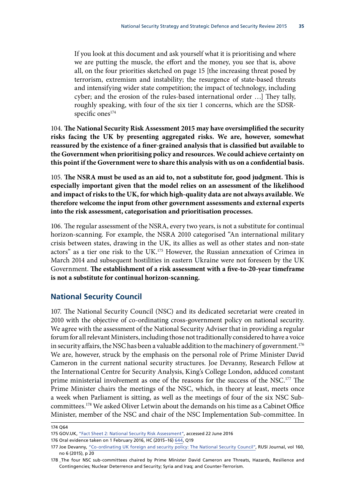<span id="page-40-0"></span>If you look at this document and ask yourself what it is prioritising and where we are putting the muscle, the effort and the money, you see that is, above all, on the four priorities sketched on page 15 [the increasing threat posed by terrorism, extremism and instability; the resurgence of state-based threats and intensifying wider state competition; the impact of technology, including cyber; and the erosion of the rules-based international order …] They tally, roughly speaking, with four of the six tier 1 concerns, which are the SDSRspecific ones<sup>174</sup>

104. **The National Security Risk Assessment 2015 may have oversimplified the security risks facing the UK by presenting aggregated risks. We are, however, somewhat reassured by the existence of a finer-grained analysis that is classified but available to the Government when prioritising policy and resources. We could achieve certainty on this point if the Government were to share this analysis with us on a confidential basis.**

105. **The NSRA must be used as an aid to, not a substitute for, good judgment. This is especially important given that the model relies on an assessment of the likelihood and impact of risks to the UK, for which high-quality data are not always available. We therefore welcome the input from other government assessments and external experts into the risk assessment, categorisation and prioritisation processes.**

106. The regular assessment of the NSRA, every two years, is not a substitute for continual horizon-scanning. For example, the NSRA 2010 categorised "An international military crisis between states, drawing in the UK, its allies as well as other states and non-state actors" as a tier one risk to the UK.175 However, the Russian annexation of Crimea in March 2014 and subsequent hostilities in eastern Ukraine were not foreseen by the UK Government. **The establishment of a risk assessment with a five-to-20-year timeframe is not a substitute for continual horizon-scanning.**

#### **National Security Council**

107. The National Security Council (NSC) and its dedicated secretariat were created in 2010 with the objective of co-ordinating cross-government policy on national security. We agree with the assessment of the National Security Adviser that in providing a regular forum for all relevant Ministers, including those not traditionally considered to have a voice in security affairs, the NSC has been a valuable addition to the machinery of government.<sup>176</sup> We are, however, struck by the emphasis on the personal role of Prime Minister David Cameron in the current national security structures. Joe Devanny, Research Fellow at the International Centre for Security Analysis, King's College London, adduced constant prime ministerial involvement as one of the reasons for the success of the NSC.<sup>177</sup> The Prime Minister chairs the meetings of the NSC, which, in theory at least, meets once a week when Parliament is sitting, as well as the meetings of four of the six NSC Subcommittees.178 We asked Oliver Letwin about the demands on his time as a Cabinet Office Minister, member of the NSC and chair of the NSC Implementation Sub-committee. In

176 Oral evidence taken on 1 February 2016, HC (2015–16) [644,](http://data.parliament.uk/writtenevidence/committeeevidence.svc/evidencedocument/national-security-strategy-committee/work-of-the-national-security-adviser/oral/28227.pdf) Q19

<sup>174</sup> Q64

<sup>175</sup> GOV.UK, ["Fact Sheet 2: National Security Risk Assessment"](https://www.gov.uk/government/uploads/system/uploads/attachment_data/file/62484/Factsheet2-National-Security-Risk-Assessment.pdf), accessed 22 June 2016

<sup>177</sup> Joe Devanny, ["Co-ordinating UK foreign and security policy: The National Security Council",](https://rusi.org/publication/rusi-journal/co-ordinating-uk-foreign-and-security-policy-national-security-council) RUSI Journal, vol 160, no 6 (2015), p 20

<sup>178</sup> \_The four NSC sub-committees chaired by Prime Minister David Cameron are Threats, Hazards, Resilience and Contingencies; Nuclear Deterrence and Security; Syria and Iraq; and Counter-Terrorism.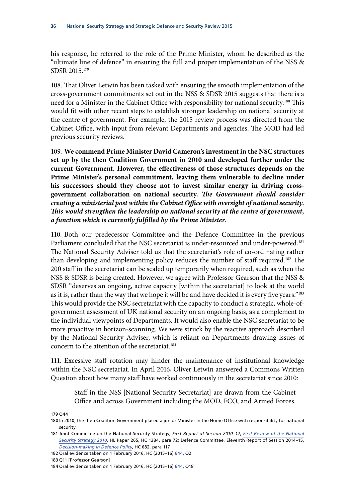his response, he referred to the role of the Prime Minister, whom he described as the "ultimate line of defence" in ensuring the full and proper implementation of the NSS & SDSR 2015.179

108. That Oliver Letwin has been tasked with ensuring the smooth implementation of the cross-government commitments set out in the NSS & SDSR 2015 suggests that there is a need for a Minister in the Cabinet Office with responsibility for national security.180 This would fit with other recent steps to establish stronger leadership on national security at the centre of government. For example, the 2015 review process was directed from the Cabinet Office, with input from relevant Departments and agencies. The MOD had led previous security reviews.

109. **We commend Prime Minister David Cameron's investment in the NSC structures set up by the then Coalition Government in 2010 and developed further under the current Government. However, the effectiveness of those structures depends on the Prime Minister's personal commitment, leaving them vulnerable to decline under his successors should they choose not to invest similar energy in driving crossgovernment collaboration on national security.** *The Government should consider creating a ministerial post within the Cabinet Office with oversight of national security. This would strengthen the leadership on national security at the centre of government, a function which is currently fulfilled by the Prime Minister.*

110. Both our predecessor Committee and the Defence Committee in the previous Parliament concluded that the NSC secretariat is under-resourced and under-powered.<sup>181</sup> The National Security Adviser told us that the secretariat's role of co-ordinating rather than developing and implementing policy reduces the number of staff required.182 The 200 staff in the secretariat can be scaled up temporarily when required, such as when the NSS & SDSR is being created. However, we agree with Professor Gearson that the NSS & SDSR "deserves an ongoing, active capacity [within the secretariat] to look at the world as it is, rather than the way that we hope it will be and have decided it is every five years."<sup>183</sup> This would provide the NSC secretariat with the capacity to conduct a strategic, whole-ofgovernment assessment of UK national security on an ongoing basis, as a complement to the individual viewpoints of Departments. It would also enable the NSC secretariat to be more proactive in horizon-scanning. We were struck by the reactive approach described by the National Security Adviser, which is reliant on Departments drawing issues of concern to the attention of the secretariat.<sup>184</sup>

111. Excessive staff rotation may hinder the maintenance of institutional knowledge within the NSC secretariat. In April 2016, Oliver Letwin answered a Commons Written Question about how many staff have worked continuously in the secretariat since 2010:

Staff in the NSS [National Security Secretariat] are drawn from the Cabinet Office and across Government including the MOD, FCO, and Armed Forces.

<sup>179</sup> Q44

<sup>180</sup> In 2010, the then Coalition Government placed a junior Minister in the Home Office with responsibility for national security.

<sup>181</sup> Joint Committee on the National Security Strategy, *First Report of Session 2010–12*, *[First Review of the National](http://www.publications.parliament.uk/pa/jt201012/jtselect/jtnatsec/265/265.pdf) [Security Strategy 2010](http://www.publications.parliament.uk/pa/jt201012/jtselect/jtnatsec/265/265.pdf)*, HL Paper 265, HC 1384, para 72; Defence Committee, Eleventh Report of Session 2014–15, *[Decision-making in Defence Policy](http://www.publications.parliament.uk/pa/cm201415/cmselect/cmdfence/682/682.pdf)*, HC 682, para 117

<sup>182</sup> Oral evidence taken on 1 February 2016, HC (2015–16) [644,](http://data.parliament.uk/writtenevidence/committeeevidence.svc/evidencedocument/national-security-strategy-committee/work-of-the-national-security-adviser/oral/28227.pdf) Q2

<sup>183</sup> Q11 [Professor Gearson]

<sup>184</sup> Oral evidence taken on 1 February 2016, HC (2015–16) [644,](http://data.parliament.uk/writtenevidence/committeeevidence.svc/evidencedocument/national-security-strategy-committee/work-of-the-national-security-adviser/oral/28227.pdf) Q18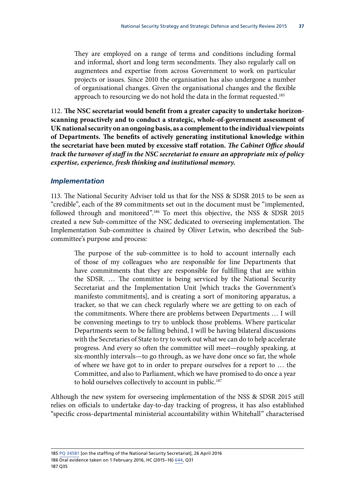<span id="page-42-0"></span>They are employed on a range of terms and conditions including formal and informal, short and long term secondments. They also regularly call on augmentees and expertise from across Government to work on particular projects or issues. Since 2010 the organisation has also undergone a number of organisational changes. Given the organisational changes and the flexible approach to resourcing we do not hold the data in the format requested.<sup>185</sup>

112. **The NSC secretariat would benefit from a greater capacity to undertake horizonscanning proactively and to conduct a strategic, whole-of-government assessment of UK national security on an ongoing basis, as a complement to the individual viewpoints of Departments. The benefits of actively generating institutional knowledge within the secretariat have been muted by excessive staff rotation.** *The Cabinet Office should track the turnover of staff in the NSC secretariat to ensure an appropriate mix of policy expertise, experience, fresh thinking and institutional memory.*

#### *Implementation*

113. The National Security Adviser told us that for the NSS & SDSR 2015 to be seen as "credible", each of the 89 commitments set out in the document must be "implemented, followed through and monitored".<sup>186</sup> To meet this objective, the NSS & SDSR 2015 created a new Sub-committee of the NSC dedicated to overseeing implementation. The Implementation Sub-committee is chaired by Oliver Letwin, who described the Subcommittee's purpose and process:

The purpose of the sub-committee is to hold to account internally each of those of my colleagues who are responsible for line Departments that have commitments that they are responsible for fulfilling that are within the SDSR. … The committee is being serviced by the National Security Secretariat and the Implementation Unit [which tracks the Government's manifesto commitments], and is creating a sort of monitoring apparatus, a tracker, so that we can check regularly where we are getting to on each of the commitments. Where there are problems between Departments … I will be convening meetings to try to unblock those problems. Where particular Departments seem to be falling behind, I will be having bilateral discussions with the Secretaries of State to try to work out what we can do to help accelerate progress. And every so often the committee will meet—roughly speaking, at six-monthly intervals—to go through, as we have done once so far, the whole of where we have got to in order to prepare ourselves for a report to … the Committee, and also to Parliament, which we have promised to do once a year to hold ourselves collectively to account in public.<sup>187</sup>

Although the new system for overseeing implementation of the NSS & SDSR 2015 still relies on officials to undertake day-to-day tracking of progress, it has also established "specific cross-departmental ministerial accountability within Whitehall" characterised

185 PQ [34581](http://www.parliament.uk/business/publications/written-questions-answers-statements/written-question/Commons/2016-04-20/34851/) [on the staffing of the National Security Secretariat], 26 April 2016 186 Oral evidence taken on 1 February 2016, HC (2015–16) [644,](http://data.parliament.uk/writtenevidence/committeeevidence.svc/evidencedocument/national-security-strategy-committee/work-of-the-national-security-adviser/oral/28227.pdf) Q31 187 Q35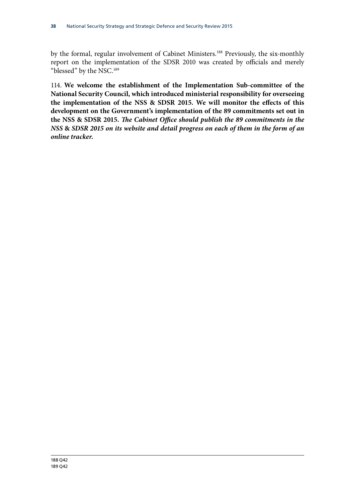by the formal, regular involvement of Cabinet Ministers.<sup>188</sup> Previously, the six-monthly report on the implementation of the SDSR 2010 was created by officials and merely "blessed" by the NSC.189

114. **We welcome the establishment of the Implementation Sub-committee of the National Security Council, which introduced ministerial responsibility for overseeing the implementation of the NSS & SDSR 2015. We will monitor the effects of this development on the Government's implementation of the 89 commitments set out in the NSS & SDSR 2015.** *The Cabinet Office should publish the 89 commitments in the NSS* **&** *SDSR 2015 on its website and detail progress on each of them in the form of an online tracker.*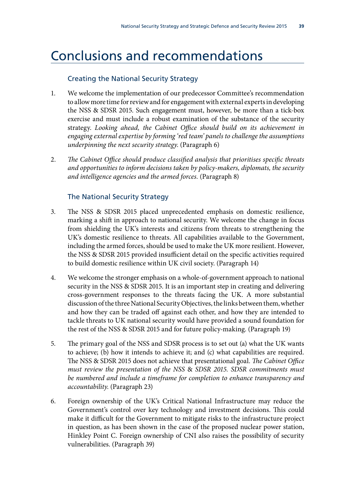### <span id="page-44-0"></span>Conclusions and recommendations

#### Creating the National Security Strategy

- 1. We welcome the implementation of our predecessor Committee's recommendation to allow more time for review and for engagement with external experts in developing the NSS & SDSR 2015. Such engagement must, however, be more than a tick-box exercise and must include a robust examination of the substance of the security strategy. *Looking ahead, the Cabinet Office should build on its achievement in engaging external expertise by forming 'red team' panels to challenge the assumptions underpinning the next security strategy*. (Paragraph 6)
- 2. *The Cabinet Office should produce classified analysis that prioritises specific threats and opportunities to inform decisions taken by policy-makers, diplomats, the security and intelligence agencies and the armed forces.* (Paragraph 8)

#### The National Security Strategy

- 3. The NSS & SDSR 2015 placed unprecedented emphasis on domestic resilience, marking a shift in approach to national security. We welcome the change in focus from shielding the UK's interests and citizens from threats to strengthening the UK's domestic resilience to threats. All capabilities available to the Government, including the armed forces, should be used to make the UK more resilient. However, the NSS & SDSR 2015 provided insufficient detail on the specific activities required to build domestic resilience within UK civil society. (Paragraph 14)
- 4. We welcome the stronger emphasis on a whole-of-government approach to national security in the NSS & SDSR 2015. It is an important step in creating and delivering cross-government responses to the threats facing the UK. A more substantial discussion of the three National Security Objectives, the links between them, whether and how they can be traded off against each other, and how they are intended to tackle threats to UK national security would have provided a sound foundation for the rest of the NSS & SDSR 2015 and for future policy-making. (Paragraph 19)
- 5. The primary goal of the NSS and SDSR process is to set out (a) what the UK wants to achieve; (b) how it intends to achieve it; and (c) what capabilities are required. The NSS & SDSR 2015 does not achieve that presentational goal. *The Cabinet Office must review the presentation of the NSS* & *SDSR 2015. SDSR commitments must be numbered and include a timeframe for completion to enhance transparency and accountability*. (Paragraph 23)
- 6. Foreign ownership of the UK's Critical National Infrastructure may reduce the Government's control over key technology and investment decisions. This could make it difficult for the Government to mitigate risks to the infrastructure project in question, as has been shown in the case of the proposed nuclear power station, Hinkley Point C. Foreign ownership of CNI also raises the possibility of security vulnerabilities. (Paragraph 39)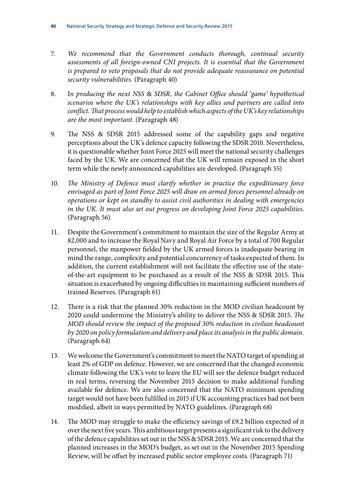- 7. *We recommend that the Government conducts thorough, continual security assessments of all foreign-owned CNI projects. It is essential that the Government is prepared to veto proposals that do not provide adequate reassurance on potential security vulnerabilities.* (Paragraph 40)
- 8. I*n producing the next NSS* & *SDSR, the Cabinet Office should 'game' hypothetical scenarios where the UK's relationships with key allies and partners are called into conflict. That process would help to establish which aspects of the UK's key relationships are the most important.* (Paragraph 48)
- 9. The NSS & SDSR 2015 addressed some of the capability gaps and negative perceptions about the UK's defence capacity following the SDSR 2010. Nevertheless, it is questionable whether Joint Force 2025 will meet the national security challenges faced by the UK. We are concerned that the UK will remain exposed in the short term while the newly announced capabilities are developed. (Paragraph 55)
- 10. *The Ministry of Defence must clarify whether in practice the expeditionary force envisaged as part of Joint Force 2025 will draw on armed forces personnel already on operations or kept on standby to assist civil authorities in dealing with emergencies in the UK. It must also set out progress on developing Joint Force 2025 capabilities*. (Paragraph 56)
- 11. Despite the Government's commitment to maintain the size of the Regular Army at 82,000 and to increase the Royal Navy and Royal Air Force by a total of 700 Regular personnel, the manpower fielded by the UK armed forces is inadequate bearing in mind the range, complexity and potential concurrency of tasks expected of them. In addition, the current establishment will not facilitate the effective use of the stateof-the-art equipment to be purchased as a result of the NSS & SDSR 2015. This situation is exacerbated by ongoing difficulties in maintaining sufficient numbers of trained Reserves. (Paragraph 61)
- 12. There is a risk that the planned 30% reduction in the MOD civilian headcount by 2020 could undermine the Ministry's ability to deliver the NSS & SDSR 2015. *The MOD should review the impact of the proposed 30% reduction in civilian headcount by 2020 on policy formulation and delivery and place its analysis in the public domain.* (Paragraph 64)
- 13. We welcome the Government's commitment to meet the NATO target of spending at least 2% of GDP on defence. However, we are concerned that the changed economic climate following the UK's vote to leave the EU will see the defence budget reduced in real terms, reversing the November 2015 decision to make additional funding available for defence. We are also concerned that the NATO minimum spending target would not have been fulfilled in 2015 if UK accounting practices had not been modified, albeit in ways permitted by NATO guidelines. (Paragraph 68)
- 14. The MOD may struggle to make the efficiency savings of £9.2 billion expected of it over the next five years. This ambitious target presents a significant risk to the delivery of the defence capabilities set out in the NSS & SDSR 2015. We are concerned that the planned increases in the MOD's budget, as set out in the November 2015 Spending Review, will be offset by increased public sector employee costs. (Paragraph 71)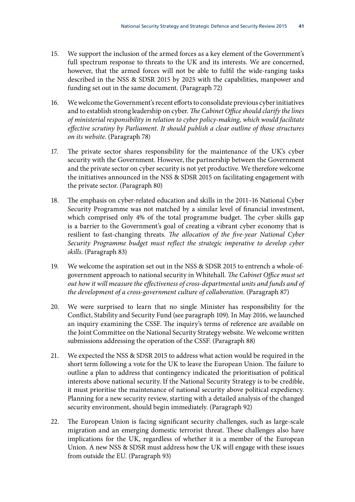- 15. We support the inclusion of the armed forces as a key element of the Government's full spectrum response to threats to the UK and its interests. We are concerned, however, that the armed forces will not be able to fulfil the wide-ranging tasks described in the NSS & SDSR 2015 by 2025 with the capabilities, manpower and funding set out in the same document. (Paragraph 72)
- 16. We welcome the Government's recent efforts to consolidate previous cyber initiatives and to establish strong leadership on cyber. *The Cabinet Office should clarify the lines of ministerial responsibility in relation to cyber policy-making, which would facilitate effective scrutiny by Parliament. It should publish a clear outline of those structures on its website*. (Paragraph 78)
- 17. The private sector shares responsibility for the maintenance of the UK's cyber security with the Government. However, the partnership between the Government and the private sector on cyber security is not yet productive. We therefore welcome the initiatives announced in the NSS & SDSR 2015 on facilitating engagement with the private sector. (Paragraph 80)
- 18. The emphasis on cyber-related education and skills in the 2011–16 National Cyber Security Programme was not matched by a similar level of financial investment, which comprised only 4% of the total programme budget. The cyber skills gap is a barrier to the Government's goal of creating a vibrant cyber economy that is resilient to fast-changing threats. *The allocation of the five-year National Cyber Security Programme budget must reflect the strategic imperative to develop cyber skills*. (Paragraph 83)
- 19. We welcome the aspiration set out in the NSS & SDSR 2015 to entrench a whole-ofgovernment approach to national security in Whitehall. *The Cabinet Office must set out how it will measure the effectiveness of cross-departmental units and funds and of the development of a cross-government culture of collaboration.* (Paragraph 87)
- 20. We were surprised to learn that no single Minister has responsibility for the Conflict, Stability and Security Fund (see paragraph 109). In May 2016, we launched an inquiry examining the CSSF. The inquiry's terms of reference are available on the Joint Committee on the National Security Strategy website. We welcome written submissions addressing the operation of the CSSF. (Paragraph 88)
- 21. We expected the NSS & SDSR 2015 to address what action would be required in the short term following a vote for the UK to leave the European Union. The failure to outline a plan to address that contingency indicated the prioritisation of political interests above national security. If the National Security Strategy is to be credible, it must prioritise the maintenance of national security above political expediency. Planning for a new security review, starting with a detailed analysis of the changed security environment, should begin immediately. (Paragraph 92)
- 22. The European Union is facing significant security challenges, such as large-scale migration and an emerging domestic terrorist threat. These challenges also have implications for the UK, regardless of whether it is a member of the European Union. A new NSS & SDSR must address how the UK will engage with these issues from outside the EU. (Paragraph 93)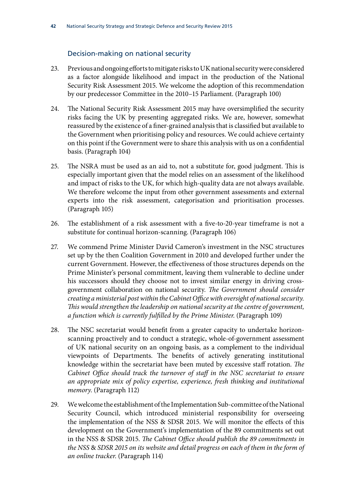#### Decision-making on national security

- 23. Previous and ongoing efforts to mitigate risks to UK national security were considered as a factor alongside likelihood and impact in the production of the National Security Risk Assessment 2015. We welcome the adoption of this recommendation by our predecessor Committee in the 2010–15 Parliament. (Paragraph 100)
- 24. The National Security Risk Assessment 2015 may have oversimplified the security risks facing the UK by presenting aggregated risks. We are, however, somewhat reassured by the existence of a finer-grained analysis that is classified but available to the Government when prioritising policy and resources. We could achieve certainty on this point if the Government were to share this analysis with us on a confidential basis. (Paragraph 104)
- 25. The NSRA must be used as an aid to, not a substitute for, good judgment. This is especially important given that the model relies on an assessment of the likelihood and impact of risks to the UK, for which high-quality data are not always available. We therefore welcome the input from other government assessments and external experts into the risk assessment, categorisation and prioritisation processes. (Paragraph 105)
- 26. The establishment of a risk assessment with a five-to-20-year timeframe is not a substitute for continual horizon-scanning. (Paragraph 106)
- 27. We commend Prime Minister David Cameron's investment in the NSC structures set up by the then Coalition Government in 2010 and developed further under the current Government. However, the effectiveness of those structures depends on the Prime Minister's personal commitment, leaving them vulnerable to decline under his successors should they choose not to invest similar energy in driving crossgovernment collaboration on national security. *The Government should consider creating a ministerial post within the Cabinet Office with oversight of national security. This would strengthen the leadership on national security at the centre of government, a function which is currently fulfilled by the Prime Minister*. (Paragraph 109)
- 28. The NSC secretariat would benefit from a greater capacity to undertake horizonscanning proactively and to conduct a strategic, whole-of-government assessment of UK national security on an ongoing basis, as a complement to the individual viewpoints of Departments. The benefits of actively generating institutional knowledge within the secretariat have been muted by excessive staff rotation. *The Cabinet Office should track the turnover of staff in the NSC secretariat to ensure an appropriate mix of policy expertise, experience, fresh thinking and institutional memory*. (Paragraph 112)
- 29. We welcome the establishment of the Implementation Sub-committee of the National Security Council, which introduced ministerial responsibility for overseeing the implementation of the NSS & SDSR 2015. We will monitor the effects of this development on the Government's implementation of the 89 commitments set out in the NSS & SDSR 2015. *The Cabinet Office should publish the 89 commitments in the NSS* & *SDSR 2015 on its website and detail progress on each of them in the form of an online tracker*. (Paragraph 114)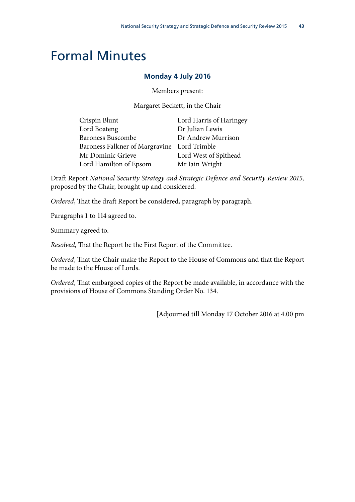# <span id="page-48-0"></span>Formal Minutes

#### **Monday 4 July 2016**

Members present:

Margaret Beckett, in the Chair

| Crispin Blunt                               | Lord Harris of Haringey |  |
|---------------------------------------------|-------------------------|--|
| Lord Boateng                                | Dr Julian Lewis         |  |
| <b>Baroness Buscombe</b>                    | Dr Andrew Murrison      |  |
| Baroness Falkner of Margravine Lord Trimble |                         |  |
| Mr Dominic Grieve                           | Lord West of Spithead   |  |
| Lord Hamilton of Epsom                      | Mr Iain Wright          |  |

Draft Report *National Security Strategy and Strategic Defence and Security Review 2015,*  proposed by the Chair, brought up and considered.

*Ordered*, That the draft Report be considered, paragraph by paragraph.

Paragraphs 1 to 114 agreed to.

Summary agreed to.

*Resolved*, That the Report be the First Report of the Committee.

*Ordered*, That the Chair make the Report to the House of Commons and that the Report be made to the House of Lords.

*Ordered*, That embargoed copies of the Report be made available, in accordance with the provisions of House of Commons Standing Order No. 134.

[Adjourned till Monday 17 October 2016 at 4.00 pm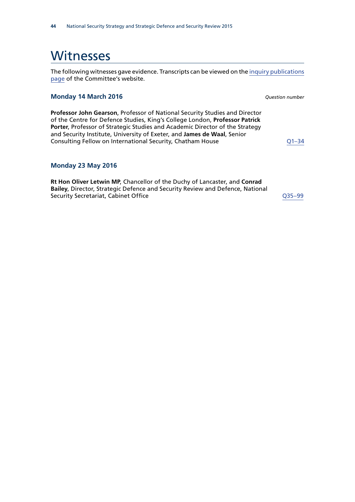### <span id="page-49-0"></span>**Witnesses**

The following witnesses gave evidence. Transcripts can be viewed on the [inquiry publications](http://www.parliament.uk/business/committees/committees-a-z/joint-select/national-security-strategy/inquiries/parliament-2015/nss-sdsr-2015-15-16/publications/) [page](http://www.parliament.uk/business/committees/committees-a-z/joint-select/national-security-strategy/inquiries/parliament-2015/nss-sdsr-2015-15-16/publications/) of the Committee's website.

#### **Monday 14 March 2016** *Question number*

**Professor John Gearson**, Professor of National Security Studies and Director of the Centre for Defence Studies, King's College London, **Professor Patrick Porter**, Professor of Strategic Studies and Academic Director of the Strategy and Security Institute, University of Exeter, and **James de Waal**, Senior Consulting Fellow on International Security, Chatham House **COLUTE 10** Q1-34

#### **Monday 23 May 2016**

**Rt Hon Oliver Letwin MP**, Chancellor of the Duchy of Lancaster, and **Conrad Bailey**, Director, Strategic Defence and Security Review and Defence, National Security Secretariat, Cabinet Office Communication Control Control Control Control Control Control Control Control Control Control Control Control Control Control Control Control Control Control Control Control Control Con